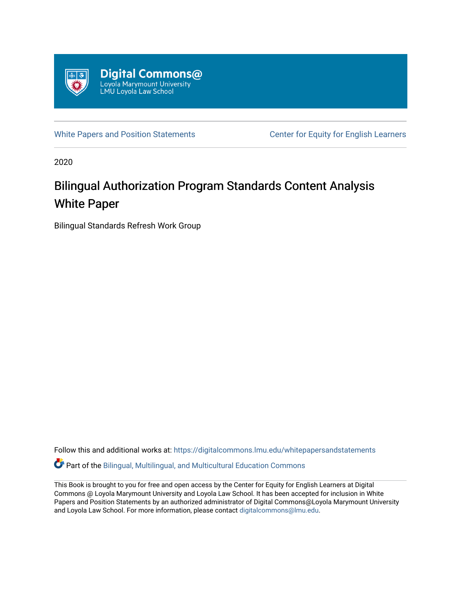

[White Papers and Position Statements](https://digitalcommons.lmu.edu/whitepapersandstatements) Center for Equity for English Learners

2020

# Bilingual Authorization Program Standards Content Analysis White Paper

Bilingual Standards Refresh Work Group

Follow this and additional works at: [https://digitalcommons.lmu.edu/whitepapersandstatements](https://digitalcommons.lmu.edu/whitepapersandstatements?utm_source=digitalcommons.lmu.edu%2Fwhitepapersandstatements%2F2&utm_medium=PDF&utm_campaign=PDFCoverPages)

Part of the [Bilingual, Multilingual, and Multicultural Education Commons](http://network.bepress.com/hgg/discipline/785?utm_source=digitalcommons.lmu.edu%2Fwhitepapersandstatements%2F2&utm_medium=PDF&utm_campaign=PDFCoverPages) 

This Book is brought to you for free and open access by the Center for Equity for English Learners at Digital Commons @ Loyola Marymount University and Loyola Law School. It has been accepted for inclusion in White Papers and Position Statements by an authorized administrator of Digital Commons@Loyola Marymount University and Loyola Law School. For more information, please contact [digitalcommons@lmu.edu](mailto:digitalcommons@lmu.edu).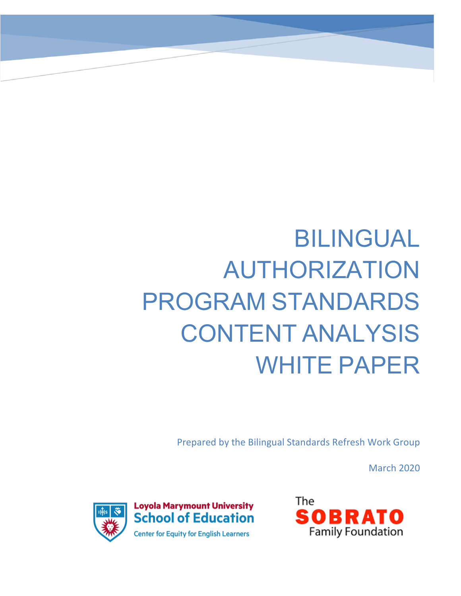# BILINGUAL AUTHORIZATION PROGRAM STANDARDS CONTENT ANALYSIS WHITE PAPER

Prepared by the Bilingual Standards Refresh Work Group

March 2020



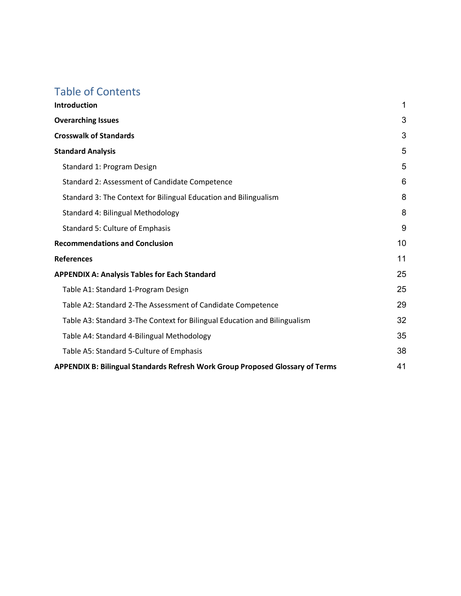# Table of Contents

| <b>Introduction</b>                                                           | 1  |
|-------------------------------------------------------------------------------|----|
| <b>Overarching Issues</b>                                                     | 3  |
| <b>Crosswalk of Standards</b>                                                 | 3  |
| <b>Standard Analysis</b>                                                      | 5  |
| Standard 1: Program Design                                                    | 5  |
| Standard 2: Assessment of Candidate Competence                                | 6  |
| Standard 3: The Context for Bilingual Education and Bilingualism              | 8  |
| Standard 4: Bilingual Methodology                                             | 8  |
| <b>Standard 5: Culture of Emphasis</b>                                        | 9  |
| <b>Recommendations and Conclusion</b>                                         | 10 |
| <b>References</b>                                                             | 11 |
| <b>APPENDIX A: Analysis Tables for Each Standard</b>                          | 25 |
| Table A1: Standard 1-Program Design                                           | 25 |
| Table A2: Standard 2-The Assessment of Candidate Competence                   | 29 |
| Table A3: Standard 3-The Context for Bilingual Education and Bilingualism     | 32 |
| Table A4: Standard 4-Bilingual Methodology                                    | 35 |
| Table A5: Standard 5-Culture of Emphasis                                      | 38 |
| APPENDIX B: Bilingual Standards Refresh Work Group Proposed Glossary of Terms | 41 |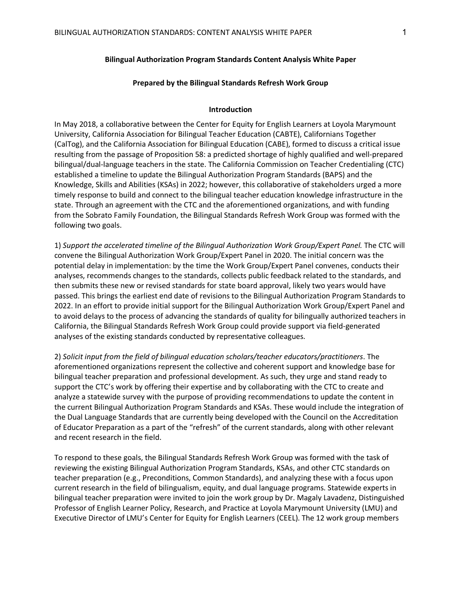#### **Bilingual Authorization Program Standards Content Analysis White Paper**

#### **Prepared by the Bilingual Standards Refresh Work Group**

#### **Introduction**

In May 2018, a collaborative between the Center for Equity for English Learners at Loyola Marymount University, California Association for Bilingual Teacher Education (CABTE), Californians Together (CalTog), and the California Association for Bilingual Education (CABE), formed to discuss a critical issue resulting from the passage of Proposition 58: a predicted shortage of highly qualified and well-prepared bilingual/dual-language teachers in the state. The California Commission on Teacher Credentialing (CTC) established a timeline to update the Bilingual Authorization Program Standards (BAPS) and the Knowledge, Skills and Abilities (KSAs) in 2022; however, this collaborative of stakeholders urged a more timely response to build and connect to the bilingual teacher education knowledge infrastructure in the state. Through an agreement with the CTC and the aforementioned organizations, and with funding from the Sobrato Family Foundation, the Bilingual Standards Refresh Work Group was formed with the following two goals.

1) *Support the accelerated timeline of the Bilingual Authorization Work Group/Expert Panel.* The CTC will convene the Bilingual Authorization Work Group/Expert Panel in 2020. The initial concern was the potential delay in implementation: by the time the Work Group/Expert Panel convenes, conducts their analyses, recommends changes to the standards, collects public feedback related to the standards, and then submits these new or revised standards for state board approval, likely two years would have passed. This brings the earliest end date of revisions to the Bilingual Authorization Program Standards to 2022. In an effort to provide initial support for the Bilingual Authorization Work Group/Expert Panel and to avoid delays to the process of advancing the standards of quality for bilingually authorized teachers in California, the Bilingual Standards Refresh Work Group could provide support via field-generated analyses of the existing standards conducted by representative colleagues.

2) *Solicit input from the field of bilingual education scholars/teacher educators/practitioners*. The aforementioned organizations represent the collective and coherent support and knowledge base for bilingual teacher preparation and professional development. As such, they urge and stand ready to support the CTC's work by offering their expertise and by collaborating with the CTC to create and analyze a statewide survey with the purpose of providing recommendations to update the content in the current Bilingual Authorization Program Standards and KSAs. These would include the integration of the Dual Language Standards that are currently being developed with the Council on the Accreditation of Educator Preparation as a part of the "refresh" of the current standards, along with other relevant and recent research in the field.

To respond to these goals, the Bilingual Standards Refresh Work Group was formed with the task of reviewing the existing Bilingual Authorization Program Standards, KSAs, and other CTC standards on teacher preparation (e.g., Preconditions, Common Standards), and analyzing these with a focus upon current research in the field of bilingualism, equity, and dual language programs. Statewide experts in bilingual teacher preparation were invited to join the work group by Dr. Magaly Lavadenz, Distinguished Professor of English Learner Policy, Research, and Practice at Loyola Marymount University (LMU) and Executive Director of LMU's Center for Equity for English Learners (CEEL). The 12 work group members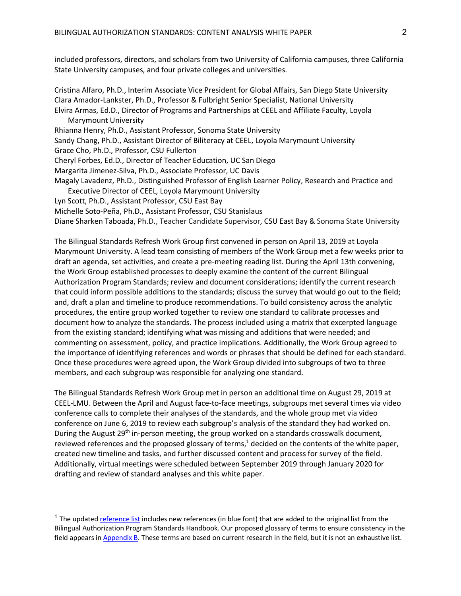included professors, directors, and scholars from two University of California campuses, three California State University campuses, and four private colleges and universities.

Cristina Alfaro, Ph.D., Interim Associate Vice President for Global Affairs, San Diego State University Clara Amador-Lankster, Ph.D., Professor & Fulbright Senior Specialist, National University Elvira Armas, Ed.D., Director of Programs and Partnerships at CEEL and Affiliate Faculty, Loyola Marymount University Rhianna Henry, Ph.D., Assistant Professor, Sonoma State University Sandy Chang, Ph.D., Assistant Director of Biliteracy at CEEL, Loyola Marymount University Grace Cho, Ph.D., Professor, CSU Fullerton Cheryl Forbes, Ed.D., Director of Teacher Education, UC San Diego Margarita Jimenez-Silva, Ph.D., Associate Professor, UC Davis Magaly Lavadenz, Ph.D., Distinguished Professor of English Learner Policy, Research and Practice and Executive Director of CEEL, Loyola Marymount University Lyn Scott, Ph.D., Assistant Professor, CSU East Bay Michelle Soto-Peña, Ph.D., Assistant Professor, CSU Stanislaus

Diane Sharken Taboada, Ph.D., Teacher Candidate Supervisor, CSU East Bay & Sonoma State University

The Bilingual Standards Refresh Work Group first convened in person on April 13, 2019 at Loyola Marymount University. A lead team consisting of members of the Work Group met a few weeks prior to draft an agenda, set activities, and create a pre-meeting reading list. During the April 13th convening, the Work Group established processes to deeply examine the content of the current Bilingual Authorization Program Standards; review and document considerations; identify the current research that could inform possible additions to the standards; discuss the survey that would go out to the field; and, draft a plan and timeline to produce recommendations. To build consistency across the analytic procedures, the entire group worked together to review one standard to calibrate processes and document how to analyze the standards. The process included using a matrix that excerpted language from the existing standard; identifying what was missing and additions that were needed; and commenting on assessment, policy, and practice implications. Additionally, the Work Group agreed to the importance of identifying references and words or phrases that should be defined for each standard. Once these procedures were agreed upon, the Work Group divided into subgroups of two to three members, and each subgroup was responsible for analyzing one standard.

The Bilingual Standards Refresh Work Group met in person an additional time on August 29, 2019 at CEEL-LMU. Between the April and August face-to-face meetings, subgroups met several times via video conference calls to complete their analyses of the standards, and the whole group met via video conference on June 6, 2019 to review each subgroup's analysis of the standard they had worked on. During the August 29<sup>th</sup> in-person meeting, the group worked on a standards crosswalk document, reviewed references and the proposed glossary of terms, $1$  decided on the contents of the white paper, created new timeline and tasks, and further discussed content and process for survey of the field. Additionally, virtual meetings were scheduled between September 2019 through January 2020 for drafting and review of standard analyses and this white paper.

 $1$  The updated reference list includes new references (in blue font) that are added to the original list from the Bilingual Authorization Program Standards Handbook. Our proposed glossary of terms to ensure consistency in the field appears in Appendix B. These terms are based on current research in the field, but it is not an exhaustive list.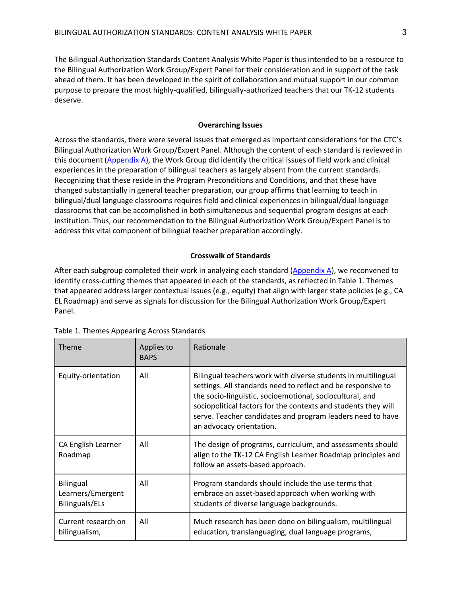The Bilingual Authorization Standards Content Analysis White Paper is thus intended to be a resource to the Bilingual Authorization Work Group/Expert Panel for their consideration and in support of the task ahead of them. It has been developed in the spirit of collaboration and mutual support in our common purpose to prepare the most highly-qualified, bilingually-authorized teachers that our TK-12 students deserve.

#### **Overarching Issues**

Across the standards, there were several issues that emerged as important considerations for the CTC's Bilingual Authorization Work Group/Expert Panel. Although the content of each standard is reviewed in this document (Appendix A), the Work Group did identify the critical issues of field work and clinical experiences in the preparation of bilingual teachers as largely absent from the current standards. Recognizing that these reside in the Program Preconditions and Conditions, and that these have changed substantially in general teacher preparation, our group affirms that learning to teach in bilingual/dual language classrooms requires field and clinical experiences in bilingual/dual language classrooms that can be accomplished in both simultaneous and sequential program designs at each institution. Thus, our recommendation to the Bilingual Authorization Work Group/Expert Panel is to address this vital component of bilingual teacher preparation accordingly.

#### **Crosswalk of Standards**

After each subgroup completed their work in analyzing each standard (Appendix A), we reconvened to identify cross-cutting themes that appeared in each of the standards, as reflected in Table 1. Themes that appeared address larger contextual issues (e.g., equity) that align with larger state policies (e.g., CA EL Roadmap) and serve as signals for discussion for the Bilingual Authorization Work Group/Expert Panel.

| <b>Theme</b>                                     | Applies to<br><b>BAPS</b> | Rationale                                                                                                                                                                                                                                                                                                                                             |
|--------------------------------------------------|---------------------------|-------------------------------------------------------------------------------------------------------------------------------------------------------------------------------------------------------------------------------------------------------------------------------------------------------------------------------------------------------|
| Equity-orientation                               | All                       | Bilingual teachers work with diverse students in multilingual<br>settings. All standards need to reflect and be responsive to<br>the socio-linguistic, socioemotional, sociocultural, and<br>sociopolitical factors for the contexts and students they will<br>serve. Teacher candidates and program leaders need to have<br>an advocacy orientation. |
| CA English Learner<br>Roadmap                    | All                       | The design of programs, curriculum, and assessments should<br>align to the TK-12 CA English Learner Roadmap principles and<br>follow an assets-based approach.                                                                                                                                                                                        |
| Bilingual<br>Learners/Emergent<br>Bilinguals/ELs | All                       | Program standards should include the use terms that<br>embrace an asset-based approach when working with<br>students of diverse language backgrounds.                                                                                                                                                                                                 |
| Current research on<br>bilingualism,             | All                       | Much research has been done on bilingualism, multilingual<br>education, translanguaging, dual language programs,                                                                                                                                                                                                                                      |

| Table 1. Themes Appearing Across Standards |
|--------------------------------------------|
|--------------------------------------------|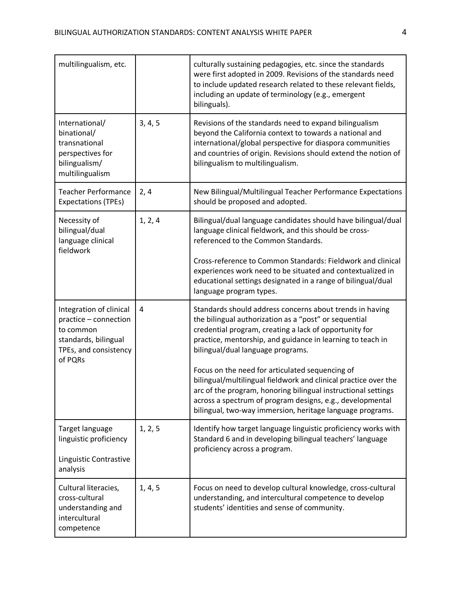| multilingualism, etc.                                                                                                     |         | culturally sustaining pedagogies, etc. since the standards<br>were first adopted in 2009. Revisions of the standards need<br>to include updated research related to these relevant fields,<br>including an update of terminology (e.g., emergent<br>bilinguals).                                              |  |
|---------------------------------------------------------------------------------------------------------------------------|---------|---------------------------------------------------------------------------------------------------------------------------------------------------------------------------------------------------------------------------------------------------------------------------------------------------------------|--|
| International/<br>binational/<br>transnational<br>perspectives for<br>bilingualism/<br>multilingualism                    | 3, 4, 5 | Revisions of the standards need to expand bilingualism<br>beyond the California context to towards a national and<br>international/global perspective for diaspora communities<br>and countries of origin. Revisions should extend the notion of<br>bilingualism to multilingualism.                          |  |
| <b>Teacher Performance</b><br><b>Expectations (TPEs)</b>                                                                  | 2, 4    | New Bilingual/Multilingual Teacher Performance Expectations<br>should be proposed and adopted.                                                                                                                                                                                                                |  |
| Necessity of<br>bilingual/dual<br>language clinical<br>fieldwork                                                          | 1, 2, 4 | Bilingual/dual language candidates should have bilingual/dual<br>language clinical fieldwork, and this should be cross-<br>referenced to the Common Standards.                                                                                                                                                |  |
|                                                                                                                           |         | Cross-reference to Common Standards: Fieldwork and clinical<br>experiences work need to be situated and contextualized in<br>educational settings designated in a range of bilingual/dual<br>language program types.                                                                                          |  |
| Integration of clinical<br>practice - connection<br>to common<br>standards, bilingual<br>TPEs, and consistency<br>of PQRs | 4       | Standards should address concerns about trends in having<br>the bilingual authorization as a "post" or sequential<br>credential program, creating a lack of opportunity for<br>practice, mentorship, and guidance in learning to teach in<br>bilingual/dual language programs.                                |  |
|                                                                                                                           |         | Focus on the need for articulated sequencing of<br>bilingual/multilingual fieldwork and clinical practice over the<br>arc of the program, honoring bilingual instructional settings<br>across a spectrum of program designs, e.g., developmental<br>bilingual, two-way immersion, heritage language programs. |  |
| Target language<br>linguistic proficiency<br>Linguistic Contrastive                                                       | 1, 2, 5 | Identify how target language linguistic proficiency works with<br>Standard 6 and in developing bilingual teachers' language<br>proficiency across a program.                                                                                                                                                  |  |
| analysis                                                                                                                  |         |                                                                                                                                                                                                                                                                                                               |  |
| Cultural literacies,<br>cross-cultural<br>understanding and<br>intercultural<br>competence                                | 1, 4, 5 | Focus on need to develop cultural knowledge, cross-cultural<br>understanding, and intercultural competence to develop<br>students' identities and sense of community.                                                                                                                                         |  |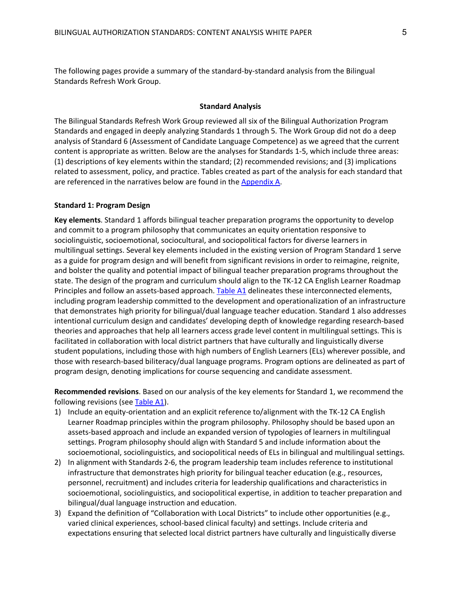The following pages provide a summary of the standard-by-standard analysis from the Bilingual Standards Refresh Work Group.

#### **Standard Analysis**

The Bilingual Standards Refresh Work Group reviewed all six of the Bilingual Authorization Program Standards and engaged in deeply analyzing Standards 1 through 5. The Work Group did not do a deep analysis of Standard 6 (Assessment of Candidate Language Competence) as we agreed that the current content is appropriate as written. Below are the analyses for Standards 1-5, which include three areas: (1) descriptions of key elements within the standard; (2) recommended revisions; and (3) implications related to assessment, policy, and practice. Tables created as part of the analysis for each standard that are referenced in the narratives below are found in the Appendix A.

#### **Standard 1: Program Design**

**Key elements**. Standard 1 affords bilingual teacher preparation programs the opportunity to develop and commit to a program philosophy that communicates an equity orientation responsive to sociolinguistic, socioemotional, sociocultural, and sociopolitical factors for diverse learners in multilingual settings. Several key elements included in the existing version of Program Standard 1 serve as a guide for program design and will benefit from significant revisions in order to reimagine, reignite, and bolster the quality and potential impact of bilingual teacher preparation programs throughout the state. The design of the program and curriculum should align to the TK-12 CA English Learner Roadmap Principles and follow an assets-based approach. Table A1 delineates these interconnected elements, including program leadership committed to the development and operationalization of an infrastructure that demonstrates high priority for bilingual/dual language teacher education. Standard 1 also addresses intentional curriculum design and candidates' developing depth of knowledge regarding research-based theories and approaches that help all learners access grade level content in multilingual settings. This is facilitated in collaboration with local district partners that have culturally and linguistically diverse student populations, including those with high numbers of English Learners (ELs) wherever possible, and those with research-based biliteracy/dual language programs. Program options are delineated as part of program design, denoting implications for course sequencing and candidate assessment.

**Recommended revisions**. Based on our analysis of the key elements for Standard 1, we recommend the following revisions (see Table A1).

- 1) Include an equity-orientation and an explicit reference to/alignment with the TK-12 CA English Learner Roadmap principles within the program philosophy. Philosophy should be based upon an assets-based approach and include an expanded version of typologies of learners in multilingual settings. Program philosophy should align with Standard 5 and include information about the socioemotional, sociolinguistics, and sociopolitical needs of ELs in bilingual and multilingual settings.
- 2) In alignment with Standards 2-6, the program leadership team includes reference to institutional infrastructure that demonstrates high priority for bilingual teacher education (e.g., resources, personnel, recruitment) and includes criteria for leadership qualifications and characteristics in socioemotional, sociolinguistics, and sociopolitical expertise, in addition to teacher preparation and bilingual/dual language instruction and education.
- 3) Expand the definition of "Collaboration with Local Districts" to include other opportunities (e.g., varied clinical experiences, school-based clinical faculty) and settings. Include criteria and expectations ensuring that selected local district partners have culturally and linguistically diverse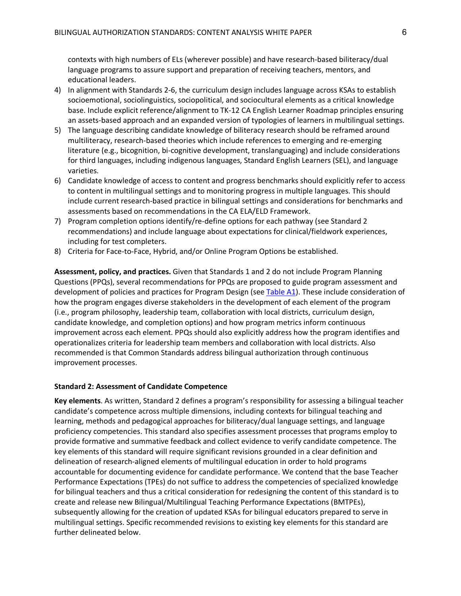contexts with high numbers of ELs (wherever possible) and have research-based biliteracy/dual language programs to assure support and preparation of receiving teachers, mentors, and educational leaders.

- 4) In alignment with Standards 2-6, the curriculum design includes language across KSAs to establish socioemotional, sociolinguistics, sociopolitical, and sociocultural elements as a critical knowledge base. Include explicit reference/alignment to TK-12 CA English Learner Roadmap principles ensuring an assets-based approach and an expanded version of typologies of learners in multilingual settings.
- 5) The language describing candidate knowledge of biliteracy research should be reframed around multiliteracy, research-based theories which include references to emerging and re-emerging literature (e.g., bicognition, bi-cognitive development, translanguaging) and include considerations for third languages, including indigenous languages, Standard English Learners (SEL), and language varieties.
- 6) Candidate knowledge of access to content and progress benchmarks should explicitly refer to access to content in multilingual settings and to monitoring progress in multiple languages. This should include current research-based practice in bilingual settings and considerations for benchmarks and assessments based on recommendations in the CA ELA/ELD Framework.
- 7) Program completion options identify/re-define options for each pathway (see Standard 2 recommendations) and include language about expectations for clinical/fieldwork experiences, including for test completers.
- 8) Criteria for Face-to-Face, Hybrid, and/or Online Program Options be established.

**Assessment, policy, and practices.** Given that Standards 1 and 2 do not include Program Planning Questions (PPQs), several recommendations for PPQs are proposed to guide program assessment and development of policies and practices for Program Design (see Table A1). These include consideration of how the program engages diverse stakeholders in the development of each element of the program (i.e., program philosophy, leadership team, collaboration with local districts, curriculum design, candidate knowledge, and completion options) and how program metrics inform continuous improvement across each element. PPQs should also explicitly address how the program identifies and operationalizes criteria for leadership team members and collaboration with local districts. Also recommended is that Common Standards address bilingual authorization through continuous improvement processes.

#### **Standard 2: Assessment of Candidate Competence**

**Key elements**. As written, Standard 2 defines a program's responsibility for assessing a bilingual teacher candidate's competence across multiple dimensions, including contexts for bilingual teaching and learning, methods and pedagogical approaches for biliteracy/dual language settings, and language proficiency competencies. This standard also specifies assessment processes that programs employ to provide formative and summative feedback and collect evidence to verify candidate competence. The key elements of this standard will require significant revisions grounded in a clear definition and delineation of research-aligned elements of multilingual education in order to hold programs accountable for documenting evidence for candidate performance. We contend that the base Teacher Performance Expectations (TPEs) do not suffice to address the competencies of specialized knowledge for bilingual teachers and thus a critical consideration for redesigning the content of this standard is to create and release new Bilingual/Multilingual Teaching Performance Expectations (BMTPEs), subsequently allowing for the creation of updated KSAs for bilingual educators prepared to serve in multilingual settings. Specific recommended revisions to existing key elements for this standard are further delineated below.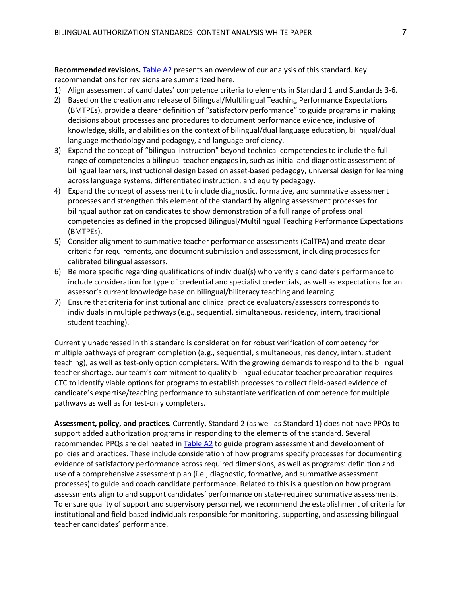**Recommended revisions.** Table A2 presents an overview of our analysis of this standard. Key recommendations for revisions are summarized here.

- 1) Align assessment of candidates' competence criteria to elements in Standard 1 and Standards 3-6.
- 2) Based on the creation and release of Bilingual/Multilingual Teaching Performance Expectations (BMTPEs), provide a clearer definition of "satisfactory performance" to guide programs in making decisions about processes and procedures to document performance evidence, inclusive of knowledge, skills, and abilities on the context of bilingual/dual language education, bilingual/dual language methodology and pedagogy, and language proficiency.
- 3) Expand the concept of "bilingual instruction" beyond technical competencies to include the full range of competencies a bilingual teacher engages in, such as initial and diagnostic assessment of bilingual learners, instructional design based on asset-based pedagogy, universal design for learning across language systems, differentiated instruction, and equity pedagogy.
- 4) Expand the concept of assessment to include diagnostic, formative, and summative assessment processes and strengthen this element of the standard by aligning assessment processes for bilingual authorization candidates to show demonstration of a full range of professional competencies as defined in the proposed Bilingual/Multilingual Teaching Performance Expectations (BMTPEs).
- 5) Consider alignment to summative teacher performance assessments (CalTPA) and create clear criteria for requirements, and document submission and assessment, including processes for calibrated bilingual assessors.
- 6) Be more specific regarding qualifications of individual(s) who verify a candidate's performance to include consideration for type of credential and specialist credentials, as well as expectations for an assessor's current knowledge base on bilingual/biliteracy teaching and learning.
- 7) Ensure that criteria for institutional and clinical practice evaluators/assessors corresponds to individuals in multiple pathways (e.g., sequential, simultaneous, residency, intern, traditional student teaching).

Currently unaddressed in this standard is consideration for robust verification of competency for multiple pathways of program completion (e.g., sequential, simultaneous, residency, intern, student teaching), as well as test-only option completers. With the growing demands to respond to the bilingual teacher shortage, our team's commitment to quality bilingual educator teacher preparation requires CTC to identify viable options for programs to establish processes to collect field-based evidence of candidate's expertise/teaching performance to substantiate verification of competence for multiple pathways as well as for test-only completers.

**Assessment, policy, and practices.** Currently, Standard 2 (as well as Standard 1) does not have PPQs to support added authorization programs in responding to the elements of the standard. Several recommended PPQs are delineated in Table A2 to guide program assessment and development of policies and practices. These include consideration of how programs specify processes for documenting evidence of satisfactory performance across required dimensions, as well as programs' definition and use of a comprehensive assessment plan (i.e., diagnostic, formative, and summative assessment processes) to guide and coach candidate performance. Related to this is a question on how program assessments align to and support candidates' performance on state-required summative assessments. To ensure quality of support and supervisory personnel, we recommend the establishment of criteria for institutional and field-based individuals responsible for monitoring, supporting, and assessing bilingual teacher candidates' performance.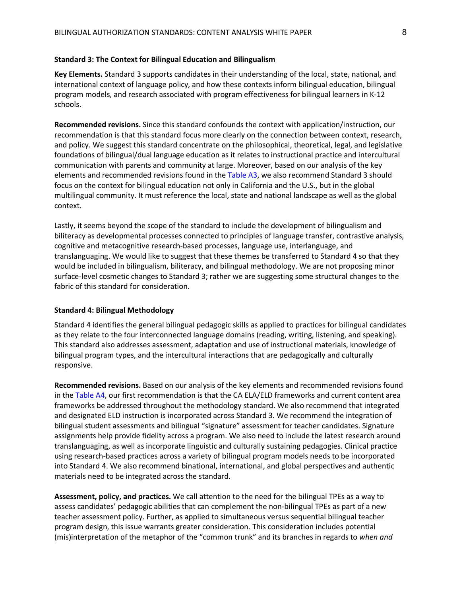#### **Standard 3: The Context for Bilingual Education and Bilingualism**

**Key Elements.** Standard 3 supports candidates in their understanding of the local, state, national, and international context of language policy, and how these contexts inform bilingual education, bilingual program models, and research associated with program effectiveness for bilingual learners in K-12 schools.

**Recommended revisions.** Since this standard confounds the context with application/instruction, our recommendation is that this standard focus more clearly on the connection between context, research, and policy. We suggest this standard concentrate on the philosophical, theoretical, legal, and legislative foundations of bilingual/dual language education as it relates to instructional practice and intercultural communication with parents and community at large. Moreover, based on our analysis of the key elements and recommended revisions found in the Table A3, we also recommend Standard 3 should focus on the context for bilingual education not only in California and the U.S., but in the global multilingual community. It must reference the local, state and national landscape as well as the global context.

Lastly, it seems beyond the scope of the standard to include the development of bilingualism and biliteracy as developmental processes connected to principles of language transfer, contrastive analysis, cognitive and metacognitive research-based processes, language use, interlanguage, and translanguaging. We would like to suggest that these themes be transferred to Standard 4 so that they would be included in bilingualism, biliteracy, and bilingual methodology. We are not proposing minor surface-level cosmetic changes to Standard 3; rather we are suggesting some structural changes to the fabric of this standard for consideration.

#### **Standard 4: Bilingual Methodology**

Standard 4 identifies the general bilingual pedagogic skills as applied to practices for bilingual candidates as they relate to the four interconnected language domains (reading, writing, listening, and speaking). This standard also addresses assessment, adaptation and use of instructional materials, knowledge of bilingual program types, and the intercultural interactions that are pedagogically and culturally responsive.

**Recommended revisions.** Based on our analysis of the key elements and recommended revisions found in the Table A4, our first recommendation is that the CA ELA/ELD frameworks and current content area frameworks be addressed throughout the methodology standard. We also recommend that integrated and designated ELD instruction is incorporated across Standard 3. We recommend the integration of bilingual student assessments and bilingual "signature" assessment for teacher candidates. Signature assignments help provide fidelity across a program. We also need to include the latest research around translanguaging, as well as incorporate linguistic and culturally sustaining pedagogies. Clinical practice using research-based practices across a variety of bilingual program models needs to be incorporated into Standard 4. We also recommend binational, international, and global perspectives and authentic materials need to be integrated across the standard.

**Assessment, policy, and practices.** We call attention to the need for the bilingual TPEs as a way to assess candidates' pedagogic abilities that can complement the non-bilingual TPEs as part of a new teacher assessment policy. Further, as applied to simultaneous versus sequential bilingual teacher program design, this issue warrants greater consideration. This consideration includes potential (mis)interpretation of the metaphor of the "common trunk" and its branches in regards to *when and*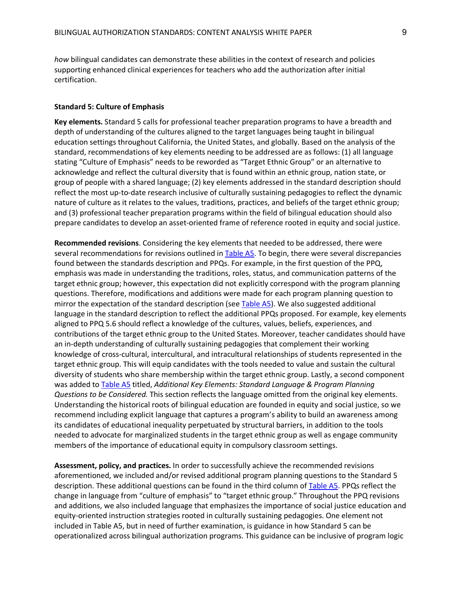*how* bilingual candidates can demonstrate these abilities in the context of research and policies supporting enhanced clinical experiences for teachers who add the authorization after initial certification.

#### **Standard 5: Culture of Emphasis**

**Key elements.** Standard 5 calls for professional teacher preparation programs to have a breadth and depth of understanding of the cultures aligned to the target languages being taught in bilingual education settings throughout California, the United States, and globally. Based on the analysis of the standard, recommendations of key elements needing to be addressed are as follows: (1) all language stating "Culture of Emphasis" needs to be reworded as "Target Ethnic Group" or an alternative to acknowledge and reflect the cultural diversity that is found within an ethnic group, nation state, or group of people with a shared language; (2) key elements addressed in the standard description should reflect the most up-to-date research inclusive of culturally sustaining pedagogies to reflect the dynamic nature of culture as it relates to the values, traditions, practices, and beliefs of the target ethnic group; and (3) professional teacher preparation programs within the field of bilingual education should also prepare candidates to develop an asset-oriented frame of reference rooted in equity and social justice.

**Recommended revisions**. Considering the key elements that needed to be addressed, there were several recommendations for revisions outlined in Table A5. To begin, there were several discrepancies found between the standards description and PPQs. For example, in the first question of the PPQ, emphasis was made in understanding the traditions, roles, status, and communication patterns of the target ethnic group; however, this expectation did not explicitly correspond with the program planning questions. Therefore, modifications and additions were made for each program planning question to mirror the expectation of the standard description (see Table A5). We also suggested additional language in the standard description to reflect the additional PPQs proposed. For example, key elements aligned to PPQ 5.6 should reflect a knowledge of the cultures, values, beliefs, experiences, and contributions of the target ethnic group to the United States. Moreover, teacher candidates should have an in-depth understanding of culturally sustaining pedagogies that complement their working knowledge of cross-cultural, intercultural, and intracultural relationships of students represented in the target ethnic group. This will equip candidates with the tools needed to value and sustain the cultural diversity of students who share membership within the target ethnic group. Lastly, a second component was added to Table A5 titled, *Additional Key Elements: Standard Language & Program Planning Questions to be Considered.* This section reflects the language omitted from the original key elements. Understanding the historical roots of bilingual education are founded in equity and social justice, so we recommend including explicit language that captures a program's ability to build an awareness among its candidates of educational inequality perpetuated by structural barriers, in addition to the tools needed to advocate for marginalized students in the target ethnic group as well as engage community members of the importance of educational equity in compulsory classroom settings.

**Assessment, policy, and practices.** In order to successfully achieve the recommended revisions aforementioned, we included and/or revised additional program planning questions to the Standard 5 description. These additional questions can be found in the third column of Table A5. PPQs reflect the change in language from "culture of emphasis" to "target ethnic group." Throughout the PPQ revisions and additions, we also included language that emphasizes the importance of social justice education and equity-oriented instruction strategies rooted in culturally sustaining pedagogies. One element not included in Table A5, but in need of further examination, is guidance in how Standard 5 can be operationalized across bilingual authorization programs. This guidance can be inclusive of program logic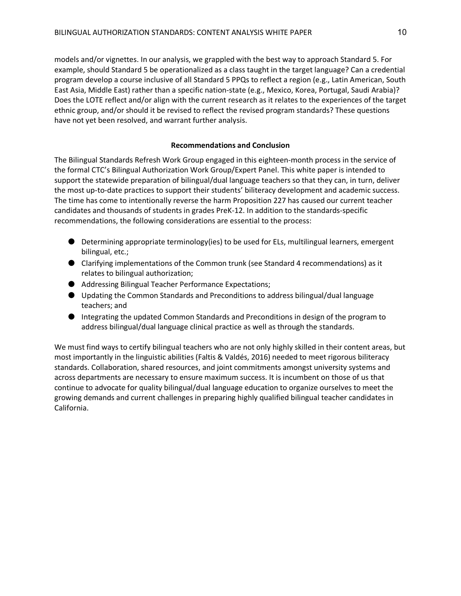models and/or vignettes. In our analysis, we grappled with the best way to approach Standard 5. For example, should Standard 5 be operationalized as a class taught in the target language? Can a credential program develop a course inclusive of all Standard 5 PPQs to reflect a region (e.g., Latin American, South East Asia, Middle East) rather than a specific nation-state (e.g., Mexico, Korea, Portugal, Saudi Arabia)? Does the LOTE reflect and/or align with the current research as it relates to the experiences of the target ethnic group, and/or should it be revised to reflect the revised program standards? These questions have not yet been resolved, and warrant further analysis.

#### **Recommendations and Conclusion**

The Bilingual Standards Refresh Work Group engaged in this eighteen-month process in the service of the formal CTC's Bilingual Authorization Work Group/Expert Panel. This white paper is intended to support the statewide preparation of bilingual/dual language teachers so that they can, in turn, deliver the most up-to-date practices to support their students' biliteracy development and academic success. The time has come to intentionally reverse the harm Proposition 227 has caused our current teacher candidates and thousands of students in grades PreK-12. In addition to the standards-specific recommendations, the following considerations are essential to the process:

- Determining appropriate terminology(ies) to be used for ELs, multilingual learners, emergent bilingual, etc.;
- Clarifying implementations of the Common trunk (see Standard 4 recommendations) as it relates to bilingual authorization;
- Addressing Bilingual Teacher Performance Expectations;
- Updating the Common Standards and Preconditions to address bilingual/dual language teachers; and
- Integrating the updated Common Standards and Preconditions in design of the program to address bilingual/dual language clinical practice as well as through the standards.

We must find ways to certify bilingual teachers who are not only highly skilled in their content areas, but most importantly in the linguistic abilities (Faltis & Valdés, 2016) needed to meet rigorous biliteracy standards. Collaboration, shared resources, and joint commitments amongst university systems and across departments are necessary to ensure maximum success. It is incumbent on those of us that continue to advocate for quality bilingual/dual language education to organize ourselves to meet the growing demands and current challenges in preparing highly qualified bilingual teacher candidates in California.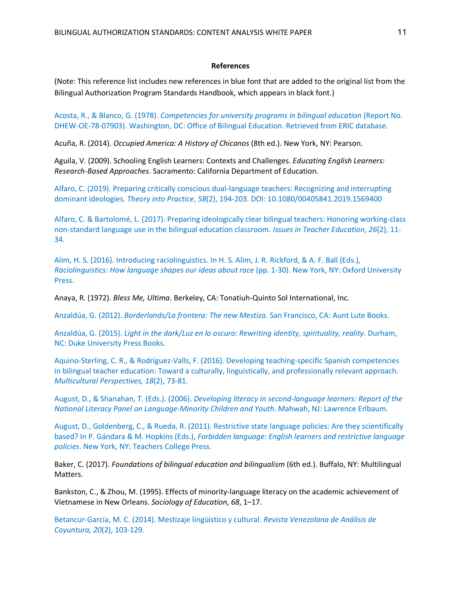#### **References**

(Note: This reference list includes new references in blue font that are added to the original list from the Bilingual Authorization Program Standards Handbook, which appears in black font.)

Acosta, R., & Blanco, G. (1978). *Competencies for university programs in bilingual education* (Report No. DHEW-OE-78-07903). Washington, DC: Office of Bilingual Education. Retrieved from ERIC database.

Acuña, R. (2014). *Occupied America: A History of Chicanos* (8th ed.)*.* New York, NY: Pearson.

Aguila, V. (2009). Schooling English Learners: Contexts and Challenges. *Educating English Learners: Research-Based Approaches*. Sacramento: California Department of Education.

Alfaro, C. (2019). Preparing critically conscious dual-language teachers: Recognizing and interrupting dominant ideologies. *Theory into Practice*, *58*(2), 194-203. DOI: 10.1080/00405841.2019.1569400

Alfaro, C. & Bartolomé, L. (2017). Preparing ideologically clear bilingual teachers: Honoring working-class non-standard language use in the bilingual education classroom. *Issues in Teacher Education*, *26*(2), 11- 34.

Alim, H. S. (2016). Introducing raciolinguistics. In H. S. Alim, J. R. Rickford, & A. F. Ball (Eds.), *Raciolinguistics: How language shapes our ideas about race* (pp. 1-30). New York, NY: Oxford University Press.

Anaya, R. (1972). *Bless Me, Ultima*. Berkeley, CA: Tonatiuh-Quinto Sol International, Inc.

Anzaldúa, G. (2012). *Borderlands/La frontera: The new Mestiza.* San Francisco, CA: Aunt Lute Books.

Anzaldúa, G. (2015). *Light in the dark/Luz en lo oscuro: Rewriting identity, spirituality, reality.* Durham, NC: Duke University Press Books.

Aquino-Sterling, C. R., & Rodríguez-Valls, F. (2016). Developing teaching-specific Spanish competencies in bilingual teacher education: Toward a culturally, linguistically, and professionally relevant approach. *Multicultural Perspectives, 18*(2), 73-81.

August, D., & Shanahan, T. (Eds.). (2006). *Developing literacy in second-language learners: Report of the National Literacy Panel on Language-Minority Children and Youth*. Mahwah, NJ: Lawrence Erlbaum.

August, D., Goldenberg, C., & Rueda, R. (2011). Restrictive state language policies: Are they scientifically based? In P. Gándara & M. Hopkins (Eds.), *Forbidden language: English learners and restrictive language policies*. New York, NY: Teachers College Press.

Baker, C. (2017). *Foundations of bilingual education and bilingualism* (6th ed.). Buffalo, NY: Multilingual Matters.

Bankston, C., & Zhou, M. (1995). Effects of minority-language literacy on the academic achievement of Vietnamese in New Orleans. *Sociology of Education*, *68*, 1–17.

Betancur-García, M. C. (2014). Mestizaje lingüístico y cultural. *Revista Venezolana de Análisis de Coyuntura, 20*(2), 103-129.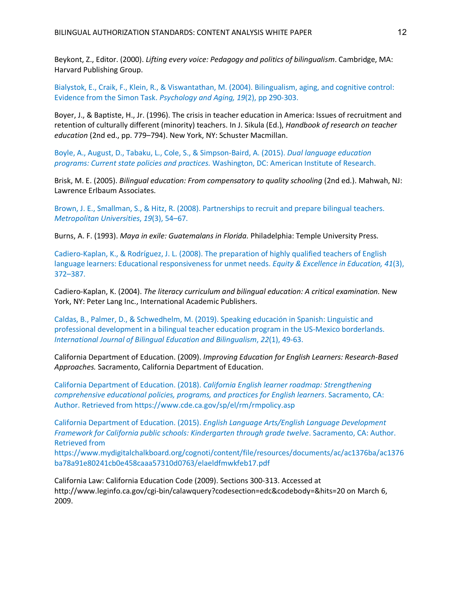Beykont, Z., Editor. (2000). *Lifting every voice: Pedagogy and politics of bilingualism*. Cambridge, MA: Harvard Publishing Group.

Bialystok, E., Craik, F., Klein, R., & Viswantathan, M. (2004). Bilingualism, aging, and cognitive control: Evidence from the Simon Task. *Psychology and Aging, 19*(2), pp 290-303.

Boyer, J., & Baptiste, H., Jr. (1996). The crisis in teacher education in America: Issues of recruitment and retention of culturally different (minority) teachers. In J. Sikula (Ed.), *Handbook of research on teacher education* (2nd ed., pp. 779–794). New York, NY: Schuster Macmillan.

Boyle, A., August, D., Tabaku, L., Cole, S., & Simpson-Baird, A. (2015). *Dual language education programs: Current state policies and practices.* Washington, DC: American Institute of Research.

Brisk, M. E. (2005). *Bilingual education: From compensatory to quality schooling* (2nd ed.). Mahwah, NJ: Lawrence Erlbaum Associates.

Brown, J. E., Smallman, S., & Hitz, R. (2008). Partnerships to recruit and prepare bilingual teachers. *Metropolitan Universities*, *19*(3), 54–67.

Burns, A. F. (1993). *Maya in exile: Guatemalans in Florida.* Philadelphia: Temple University Press.

Cadiero-Kaplan, K., & Rodríguez, J. L. (2008). The preparation of highly qualified teachers of English language learners: Educational responsiveness for unmet needs. *Equity & Excellence in Education, 41*(3), 372–387.

Cadiero-Kaplan, K. (2004). *The literacy curriculum and bilingual education: A critical examination.* New York, NY: Peter Lang Inc., International Academic Publishers.

Caldas, B., Palmer, D., & Schwedhelm, M. (2019). Speaking educación in Spanish: Linguistic and professional development in a bilingual teacher education program in the US-Mexico borderlands. *International Journal of Bilingual Education and Bilingualism*, *22*(1), 49-63.

California Department of Education. (2009). *Improving Education for English Learners: Research-Based Approaches.* Sacramento, California Department of Education.

California Department of Education. (2018). *California English learner roadmap: Strengthening comprehensive educational policies, programs, and practices for English learners*. Sacramento, CA: Author. Retrieved from https://www.cde.ca.gov/sp/el/rm/rmpolicy.asp

California Department of Education. (2015). *English Language Arts/English Language Development Framework for California public schools: Kindergarten through grade twelve*. Sacramento, CA: Author. Retrieved from

https://www.mydigitalchalkboard.org/cognoti/content/file/resources/documents/ac/ac1376ba/ac1376 ba78a91e80241cb0e458caaa57310d0763/elaeldfmwkfeb17.pdf

California Law: California Education Code (2009). Sections 300-313. Accessed at http://www.leginfo.ca.gov/cgi-bin/calawquery?codesection=edc&codebody=&hits=20 on March 6, 2009.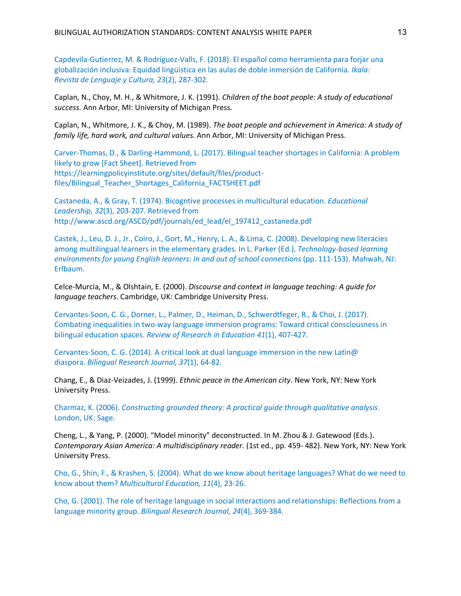Capdevila-Gutierrez, M. & Rodríguez-Valls, F. (2018). El español como herramienta para forjar una globalización inclusiva: Equidad lingüística en las aulas de doble inmersión de California. *Ikala: Revista de Lenguaje y Cultura, 23*(2), 287-302.

Caplan, N., Choy, M. H., & Whitmore, J. K. (1991). *Children of the boat people: A study of educational success.* Ann Arbor, MI: University of Michigan Press.

Caplan, N., Whitmore, J. K., & Choy, M. (1989). *The boat people and achievement in America: A study of family life, hard work, and cultural values*. Ann Arbor, MI: University of Michigan Press.

Carver-Thomas, D., & Darling-Hammond, L. (2017). Bilingual teacher shortages in California: A problem likely to grow [Fact Sheet]. Retrieved from https://learningpolicyinstitute.org/sites/default/files/productfiles/Bilingual\_Teacher\_Shortages\_California\_FACTSHEET.pdf

Castaneda, A., & Gray, T. (1974). Bicogntive processes in multicultural education. *Educational Leadership, 32*(3), 203-207. Retrieved from http://www.ascd.org/ASCD/pdf/journals/ed\_lead/el\_197412\_castaneda.pdf

Castek, J., Leu, D. J., Jr., Coiro, J., Gort, M., Henry, L. A., & Lima, C. (2008). Developing new literacies among multilingual learners in the elementary grades. In L. Parker (Ed.), *Technology-based learning environments for young English learners: In and out of school connections* (pp. 111-153). Mahwah, NJ: Erlbaum.

Celce-Murcia, M., & Olshtain, E. (2000). *Discourse and context in language teaching: A guide for language teachers*. Cambridge, UK: Cambridge University Press.

Cervantes-Soon, C. G., Dorner, L., Palmer, D., Heiman, D., Schwerdtfeger, R., & Choi, J. (2017). Combating inequalities in two-way language immersion programs: Toward critical consciousness in bilingual education spaces. *Review of Research in Education 41*(1), 407-427.

Cervantes-Soon, C. G. (2014). A critical look at dual language immersion in the new Latin@ diaspora. *Bilingual Research Journal, 37*(1), 64-82.

Chang, E., & Diaz-Veizades, J. (1999). *Ethnic peace in the American city*. New York, NY: New York University Press.

Charmaz, K. (2006). *Constructing grounded theory: A practical guide through qualitative analysis.*  London, UK: Sage.

Cheng, L., & Yang, P. (2000). "Model minority" deconstructed. In M. Zhou & J. Gatewood (Eds.). *Contemporary Asian America: A multidisciplinary reader.* (1st ed., pp. 459- 482). New York, NY: New York University Press.

Cho, G., Shin, F., & Krashen, S. (2004). What do we know about heritage languages? What do we need to know about them? *Multicultural Education, 11*(4), 23-26.

Cho, G. (2001). The role of heritage language in social interactions and relationships: Reflections from a language minority group. *Bilingual Research Journal, 24*(4), 369-384.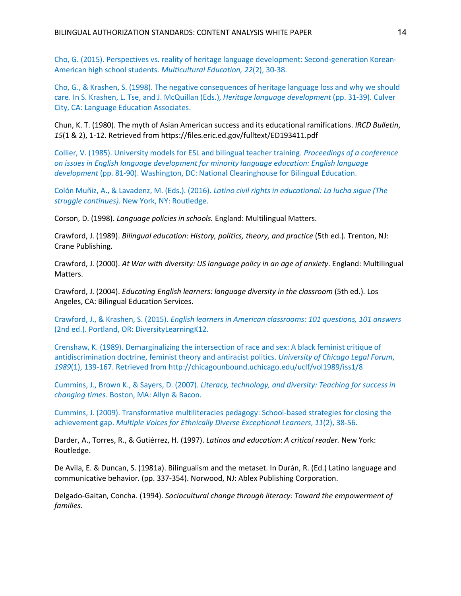Cho, G. (2015). Perspectives vs. reality of heritage language development: Second-generation Korean-American high school students. *Multicultural Education, 22*(2), 30-38.

Cho, G., & Krashen, S. (1998). The negative consequences of heritage language loss and why we should care. In S. Krashen, L. Tse, and J. McQuillan (Eds.), *Heritage language development* (pp. 31-39). Culver City, CA: Language Education Associates.

Chun, K. T. (1980). The myth of Asian American success and its educational ramifications. *IRCD Bulletin*, *15*(1 & 2), 1-12. Retrieved from https://files.eric.ed.gov/fulltext/ED193411.pdf

Collier, V. (1985). University models for ESL and bilingual teacher training. *Proceedings of a conference on issues in English language development for minority language education: English language development* (pp. 81-90). Washington, DC: National Clearinghouse for Bilingual Education.

Colón Muñiz, A., & Lavadenz, M. (Eds.). (2016). *Latino civil rights in educational: La lucha sigue (The struggle continues)*. New York, NY: Routledge.

Corson, D. (1998). *Language policies in schools.* England: Multilingual Matters.

Crawford, J. (1989). *Bilingual education: History, politics, theory, and practice* (5th ed.)*.* Trenton, NJ: Crane Publishing.

Crawford, J. (2000). *At War with diversity: US language policy in an age of anxiety*. England: Multilingual Matters.

Crawford, J. (2004). *Educating English learners: language diversity in the classroom* (5th ed.)*.* Los Angeles, CA: Bilingual Education Services.

Crawford, J., & Krashen, S. (2015). *English learners in American classrooms: 101 questions, 101 answers*  (2nd ed.). Portland, OR: DiversityLearningK12.

Crenshaw, K. (1989). Demarginalizing the intersection of race and sex: A black feminist critique of antidiscrimination doctrine, feminist theory and antiracist politics. *University of Chicago Legal Forum*, *1989*(1), 139-167. Retrieved from http://chicagounbound.uchicago.edu/uclf/vol1989/iss1/8

Cummins, J., Brown K., & Sayers, D. (2007). *Literacy, technology, and diversity: Teaching for success in changing times*. Boston, MA: Allyn & Bacon.

Cummins, J. (2009). Transformative multiliteracies pedagogy: School-based strategies for closing the achievement gap. *Multiple Voices for Ethnically Diverse Exceptional Learners*, *11*(2), 38-56.

Darder, A., Torres, R., & Gutiérrez, H. (1997). *Latinos and education*: *A critical reader.* New York: Routledge.

De Avila, E. & Duncan, S. (1981a). Bilingualism and the metaset. In Durán, R. (Ed.) Latino language and communicative behavior. (pp. 337-354). Norwood, NJ: Ablex Publishing Corporation.

Delgado-Gaitan, Concha. (1994). *Sociocultural change through literacy: Toward the empowerment of families.*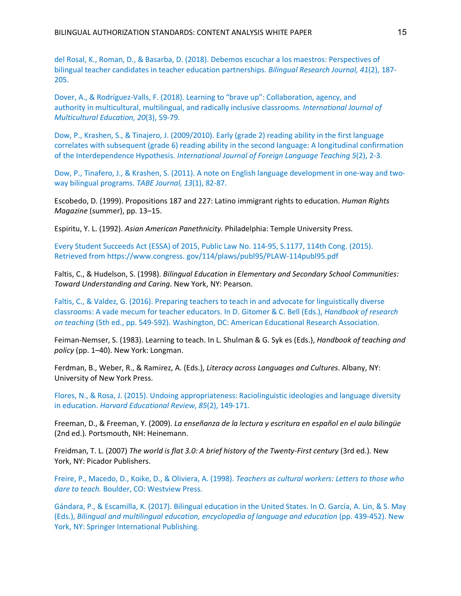del Rosal, K., Roman, D., & Basarba, D. (2018). Debemos escuchar a los maestros: Perspectives of bilingual teacher candidates in teacher education partnerships. *Bilingual Research Journal, 41*(2), 187- 205.

Dover, A., & Rodríguez-Valls, F. (2018). Learning to "brave up": Collaboration, agency, and authority in multicultural, multilingual, and radically inclusive classrooms. *International Journal of Multicultural Education, 20*(3), 59-79.

Dow, P., Krashen, S., & Tinajero, J. (2009/2010). Early (grade 2) reading ability in the first language correlates with subsequent (grade 6) reading ability in the second language: A longitudinal confirmation of the Interdependence Hypothesis. *International Journal of Foreign Language Teaching 5*(2), 2-3.

Dow, P., Tinafero, J., & Krashen, S. (2011). A note on English language development in one-way and twoway bilingual programs. *TABE Journal, 13*(1), 82-87.

Escobedo, D. (1999). Propositions 187 and 227: Latino immigrant rights to education. *Human Rights Magazine* (summer), pp. 13–15.

Espiritu, Y. L. (1992). *Asian American Panethnicity.* Philadelphia: Temple University Press.

Every Student Succeeds Act (ESSA) of 2015, Public Law No. 114-95, S.1177, 114th Cong. (2015). Retrieved from https://www.congress. gov/114/plaws/publ95/PLAW-114publ95.pdf

Faltis, C., & Hudelson, S. (1998). *Bilingual Education in Elementary and Secondary School Communities: Toward Understanding and Caring*. New York, NY: Pearson.

Faltis, C., & Valdez, G. (2016). Preparing teachers to teach in and advocate for linguistically diverse classrooms: A vade mecum for teacher educators. In D. Gitomer & C. Bell (Eds.), *Handbook of research on teaching* (5th ed., pp. 549-592). Washington, DC: American Educational Research Association.

Feiman-Nemser, S. (1983). Learning to teach. In L. Shulman & G. Syk es (Eds.), *Handbook of teaching and policy* (pp. 1–40). New York: Longman.

Ferdman, B., Weber, R., & Ramirez, A. (Eds.), *Literacy across Languages and Cultures*. Albany, NY: University of New York Press.

Flores, N., & Rosa, J. (2015). Undoing appropriateness: Raciolinguistic ideologies and language diversity in education. *Harvard Educational Review*, *85*(2), 149-171.

Freeman, D., & Freeman, Y. (2009). *La enseñanza de la lectura y escritura en español en el aula bilingüe*  (2nd ed.)*.* Portsmouth, NH: Heinemann.

Freidman, T. L. (2007) *The world is flat 3.0: A brief history of the Twenty-First century* (3rd ed.)*.* New York, NY: Picador Publishers.

Freire, P., Macedo, D., Koike, D., & Oliviera, A. (1998). *Teachers as cultural workers: Letters to those who dare to teach.* Boulder, CO: Westview Press.

Gándara, P., & Escamilla, K. (2017). Bilingual education in the United States. In O. García, A. Lin, & S. May (Eds.), *Bilingual and multilingual education, encyclopedia of language and education* (pp. 439-452). New York, NY: Springer International Publishing.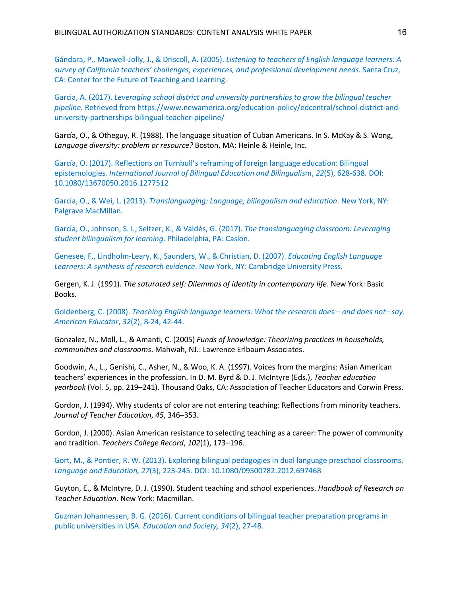Gándara, P., Maxwell-Jolly, J., & Driscoll, A. (2005). *Listening to teachers of English language learners: A survey of California teachers' challenges, experiences, and professional development needs*. Santa Cruz, CA: Center for the Future of Teaching and Learning.

Garcia, A. (2017). *Leveraging school district and university partnerships to grow the bilingual teacher pipeline.* Retrieved from https://www.newamerica.org/education-policy/edcentral/school-district-anduniversity-partnerships-bilingual-teacher-pipeline/

García, O., & Otheguy, R. (1988). The language situation of Cuban Americans. In S. McKay & S. Wong, *Language diversity: problem or resource?* Boston, MA: Heinle & Heinle, Inc.

García, O. (2017). Reflections on Turnbull's reframing of foreign language education: Bilingual epistemologies. *International Journal of Bilingual Education and Bilingualis*m, *22*(5), 628-638. DOI: 10.1080/13670050.2016.1277512

García, O., & Wei, L. (2013). *Translanguaging: Language, bilingualism and education*. New York, NY: Palgrave MacMillan.

García, O., Johnson, S. I., Seltzer, K., & Valdés, G. (2017). *The translanguaging classroom: Leveraging student bilingualism for learning*. Philadelphia, PA: Caslon.

Genesee, F., Lindholm-Leary, K., Saunders, W., & Christian, D. (2007). *Educating English Language Learners: A synthesis of research evidence*. New York, NY: Cambridge University Press.

Gergen, K. J. (1991). *The saturated self: Dilemmas of identity in contemporary life*. New York: Basic Books.

Goldenberg, C. (2008). *Teaching English language learners: What the research does – and does not– say. American Educator*, *32*(2), 8-24, 42-44.

Gonzalez, N., Moll, L., & Amanti, C. (2005) *Funds of knowledge: Theorizing practices in households, communities and classrooms*. Mahwah, NJ.: Lawrence Erlbaum Associates.

Goodwin, A., L., Genishi, C., Asher, N., & Woo, K. A. (1997). Voices from the margins: Asian American teachers' experiences in the profession. In D. M. Byrd & D. J. McIntyre (Eds.), *Teacher education yearbook* (Vol. 5, pp. 219–241). Thousand Oaks, CA: Association of Teacher Educators and Corwin Press.

Gordon, J. (1994). Why students of color are not entering teaching: Reflections from minority teachers. *Journal of Teacher Education*, *45*, 346–353.

Gordon, J. (2000). Asian American resistance to selecting teaching as a career: The power of community and tradition. *Teachers College Record*, *102*(1), 173–196.

Gort, M., & Pontier, R. W. (2013). Exploring bilingual pedagogies in dual language preschool classrooms. *Language and Education, 27*(3), 223-245. DOI: 10.1080/09500782.2012.697468

Guyton, E., & McIntyre, D. J. (1990). Student teaching and school experiences. *Handbook of Research on Teacher Education*. New York: Macmillan.

Guzman Johannessen, B. G. (2016). Current conditions of bilingual teacher preparation programs in public universities in USA. *Education and Society, 34*(2), 27-48.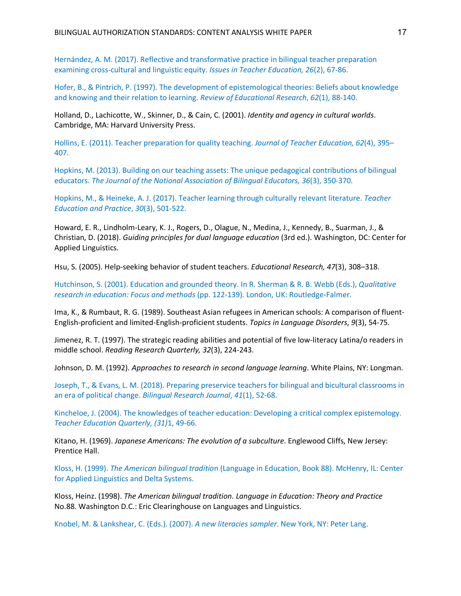Hernández, A. M. (2017). Reflective and transformative practice in bilingual teacher preparation examining cross-cultural and linguistic equity. *Issues in Teacher Education, 26*(2), 67-86.

Hofer, B., & Pintrich, P. (1997). The development of epistemological theories: Beliefs about knowledge and knowing and their relation to learning. *Review of Educational Research*, *62*(1), 88-140.

Holland, D., Lachicotte, W., Skinner, D., & Cain, C. (2001). *Identity and agency in cultural worlds*. Cambridge, MA: Harvard University Press.

Hollins, E. (2011). Teacher preparation for quality teaching. *Journal of Teacher Education, 62*(4), 395– 407.

Hopkins, M. (2013). Building on our teaching assets: The unique pedagogical contributions of bilingual educators. *The Journal of the National Association of Bilingual Educators, 36*(3), 350-370.

Hopkins, M., & Heineke, A. J. (2017). Teacher learning through culturally relevant literature. *Teacher Education and Practice*, *30*(3), 501-522.

Howard, E. R., Lindholm-Leary, K. J., Rogers, D., Olague, N., Medina, J., Kennedy, B., Suarman, J., & Christian, D. (2018). *Guiding principles for dual language education* (3rd ed.). Washington, DC: Center for Applied Linguistics.

Hsu, S. (2005). Help-seeking behavior of student teachers. *Educational Research, 47*(3), 308–318.

Hutchinson, S. (2001). Education and grounded theory. In R. Sherman & R. B. Webb (Eds.), *Qualitative research in education: Focus and methods* (pp. 122-139)*.* London, UK: Routledge-Falmer.

Ima, K., & Rumbaut, R. G. (1989). Southeast Asian refugees in American schools: A comparison of fluent-English-proficient and limited-English-proficient students. *Topics in Language Disorders*, *9*(3), 54-75.

Jimenez, R. T. (1997). The strategic reading abilities and potential of five low-literacy Latina/o readers in middle school. *Reading Research Quarterly, 32*(3), 224-243.

Johnson, D. M. (1992). *Approaches to research in second language learning*. White Plains, NY: Longman.

Joseph, T., & Evans, L. M. (2018). Preparing preservice teachers for bilingual and bicultural classrooms in an era of political change. *Bilingual Research Journal*, *41*(1), 52-68.

Kincheloe, J. (2004). The knowledges of teacher education: Developing a critical complex epistemology. *Teacher Education Quarterly, (31)*1, 49-66.

Kitano, H. (1969). *Japanese Americans: The evolution of a subculture*. Englewood Cliffs, New Jersey: Prentice Hall.

Kloss, H. (1999). *The American bilingual traditio*n (Language in Education, Book 88). McHenry, IL: Center for Applied Linguistics and Delta Systems.

Kloss, Heinz. (1998). *The American bilingual tradition. Language in Education: Theory and Practice*  No.88. Washington D.C.: Eric Clearinghouse on Languages and Linguistics.

Knobel, M. & Lankshear, C. (Eds.). (2007). *A new literacies sampler*. New York, NY: Peter Lang.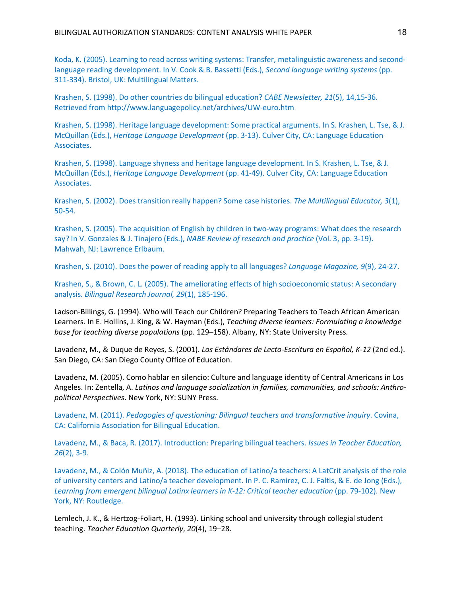Koda, K. (2005). Learning to read across writing systems: Transfer, metalinguistic awareness and secondlanguage reading development. In V. Cook & B. Bassetti (Eds.), *Second language writing systems* (pp. 311-334). Bristol, UK: Multilingual Matters.

Krashen, S. (1998). Do other countries do bilingual education? *CABE Newsletter, 21*(5), 14,15-36. Retrieved from http://www.languagepolicy.net/archives/UW-euro.htm

Krashen, S. (1998). Heritage language development: Some practical arguments. In S. Krashen, L. Tse, & J. McQuillan (Eds.), *Heritage Language Development* (pp. 3-13). Culver City, CA: Language Education Associates.

Krashen, S. (1998). Language shyness and heritage language development. In S. Krashen, L. Tse, & J. McQuillan (Eds.), *Heritage Language Development* (pp. 41-49). Culver City, CA: Language Education Associates.

Krashen, S. (2002). Does transition really happen? Some case histories. *The Multilingual Educator, 3*(1), 50-54.

Krashen, S. (2005). The acquisition of English by children in two-way programs: What does the research say? In V. Gonzales & J. Tinajero (Eds.), *NABE Review of research and practice* (Vol. 3, pp. 3-19). Mahwah, NJ: Lawrence Erlbaum.

Krashen, S. (2010). Does the power of reading apply to all languages? *Language Magazine, 9*(9), 24-27.

Krashen, S., & Brown, C. L. (2005). The ameliorating effects of high socioeconomic status: A secondary analysis. *Bilingual Research Journal, 29*(1), 185-196.

Ladson-Billings, G. (1994). Who will Teach our Children? Preparing Teachers to Teach African American Learners. In E. Hollins, J. King, & W. Hayman (Eds.), *Teaching diverse learners: Formulating a knowledge base for teaching diverse populations* (pp. 129–158). Albany, NY: State University Press.

Lavadenz, M., & Duque de Reyes, S. (2001). *Los Estándares de Lecto-Escritura en Español, K-12* (2nd ed.). San Diego, CA: San Diego County Office of Education.

Lavadenz, M. (2005). Como hablar en silencio: Culture and language identity of Central Americans in Los Angeles. In: Zentella, A. *Latinos and language socialization in families, communities, and schools: Anthropolitical Perspectives*. New York, NY: SUNY Press.

Lavadenz, M. (2011). *Pedagogies of questioning: Bilingual teachers and transformative inquiry*. Covina, CA: California Association for Bilingual Education.

Lavadenz, M., & Baca, R. (2017). Introduction: Preparing bilingual teachers. *Issues in Teacher Education, 26*(2), 3-9.

Lavadenz, M., & Colón Muñiz, A. (2018). The education of Latino/a teachers: A LatCrit analysis of the role of university centers and Latino/a teacher development. In P. C. Ramirez, C. J. Faltis, & E. de Jong (Eds.), *Learning from emergent bilingual Latinx learners in K-12: Critical teacher education* (pp. 79-102)*.* New York, NY: Routledge.

Lemlech, J. K., & Hertzog-Foliart, H. (1993). Linking school and university through collegial student teaching. *Teacher Education Quarterly*, *20*(4), 19–28.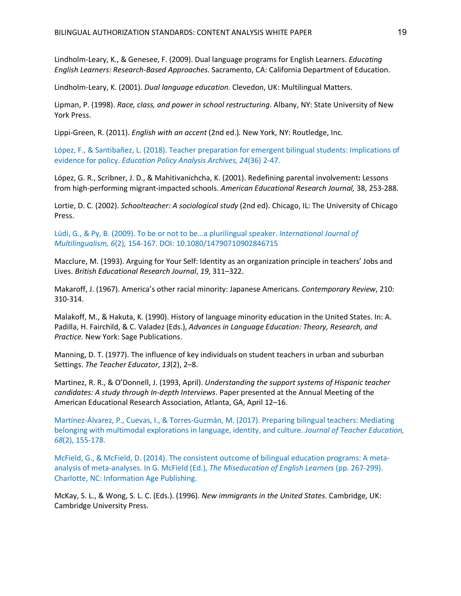Lindholm-Leary, K., & Genesee, F. (2009). Dual language programs for English Learners. *Educating English Learners: Research-Based Approaches*. Sacramento, CA: California Department of Education.

Lindholm-Leary, K. (2001). *Dual language education.* Clevedon, UK: Multilingual Matters.

Lipman, P. (1998). *Race, class, and power in school restructuring*. Albany, NY: State University of New York Press.

Lippi-Green, R. (2011). *English with an accent* (2nd ed.)*.* New York, NY: Routledge, Inc.

López, F., & Santibañez, L. (2018). Teacher preparation for emergent bilingual students: Implications of evidence for policy. *Education Policy Analysis Archives, 24*(36) 2-47.

López, G. R., Scribner, J. D., & Mahitivanichcha, K. (2001). Redefining parental involvement**:** Lessons from high-performing migrant-impacted schools. *American Educational Research Journal,* 38, 253-288.

Lortie, D. C. (2002). *Schoolteacher: A sociological study* (2nd ed). Chicago, IL: The University of Chicago Press.

Lüdi, G., & Py, B. (2009). To be or not to be…a plurilingual speaker. *International Journal of Multilingualism, 6*(2)*,* 154-167. DOI: 10.1080/14790710902846715

Macclure, M. (1993). Arguing for Your Self: Identity as an organization principle in teachers' Jobs and Lives. *British Educational Research Journal*, *19*, 311–322.

Makaroff, J. (1967). America's other racial minority: Japanese Americans. *Contemporary Review*, 210: 310-314.

Malakoff, M., & Hakuta, K. (1990). History of language minority education in the United States. In: A. Padilla, H. Fairchild, & C. Valadez (Eds.), *Advances in Language Education: Theory, Research, and Practice.* New York: Sage Publications.

Manning, D. T. (1977). The influence of key individuals on student teachers in urban and suburban Settings. *The Teacher Educator*, *13*(2), 2–8.

Martinez, R. R., & O'Donnell, J. (1993, April). *Understanding the support systems of Hispanic teacher candidates: A study through In-depth Interviews*. Paper presented at the Annual Meeting of the American Educational Research Association, Atlanta, GA, April 12–16.

Martínez-Álvarez, P., Cuevas, I., & Torres-Guzmán, M. (2017). Preparing bilingual teachers: Mediating belonging with multimodal explorations in language, identity, and culture. *Journal of Teacher Education, 68*(2), 155-178.

McField, G., & McField, D. (2014). The consistent outcome of bilingual education programs: A metaanalysis of meta-analyses. In G. McField (Ed.), *The Miseducation of English Learners* (pp. 267-299). Charlotte, NC: Information Age Publishing.

McKay, S. L., & Wong, S. L. C. (Eds.). (1996). *New immigrants in the United States*. Cambridge, UK: Cambridge University Press.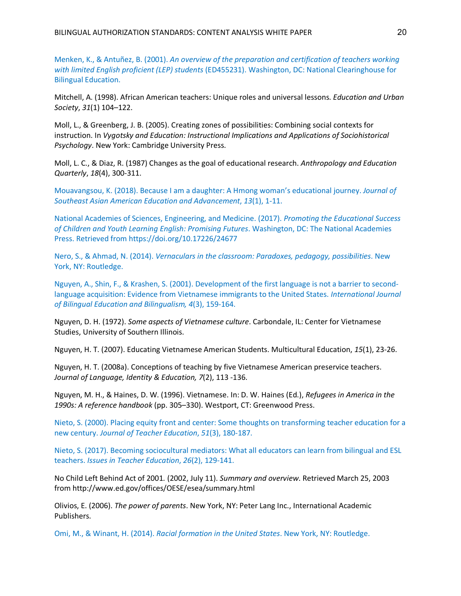Menken, K., & Antuñez, B. (2001). *An overview of the preparation and certification of teachers working with limited English proficient (LEP) students* (ED455231). Washington, DC: National Clearinghouse for Bilingual Education.

Mitchell, A. (1998). African American teachers: Unique roles and universal lessons. *Education and Urban Society*, *31*(1) 104–122.

Moll, L., & Greenberg, J. B. (2005). Creating zones of possibilities: Combining social contexts for instruction. In *Vygotsky and Education: Instructional Implications and Applications of Sociohistorical Psychology*. New York: Cambridge University Press.

Moll, L. C., & Diaz, R. (1987) Changes as the goal of educational research. *Anthropology and Education Quarterly*, *18*(4), 300-311.

Mouavangsou, K. (2018). Because I am a daughter: A Hmong woman's educational journey. *Journal of Southeast Asian American Education and Advancement*, *13*(1), 1-11.

National Academies of Sciences, Engineering, and Medicine. (2017). *Promoting the Educational Success of Children and Youth Learning English: Promising Futures*. Washington, DC: The National Academies Press. Retrieved from https://doi.org/10.17226/24677

Nero, S., & Ahmad, N. (2014). *Vernaculars in the classroom: Paradoxes, pedagogy, possibilities*. New York, NY: Routledge.

Nguyen, A., Shin, F., & Krashen, S. (2001). Development of the first language is not a barrier to secondlanguage acquisition: Evidence from Vietnamese immigrants to the United States. *International Journal of Bilingual Education and Bilingualism, 4*(3), 159-164.

Nguyen, D. H. (1972). *Some aspects of Vietnamese culture*. Carbondale, IL: Center for Vietnamese Studies, University of Southern Illinois.

Nguyen, H. T. (2007). Educating Vietnamese American Students. Multicultural Education, *15*(1), 23-26.

Nguyen, H. T. (2008a). Conceptions of teaching by five Vietnamese American preservice teachers. *Journal of Language, Identity & Education, 7*(2), 113 -136.

Nguyen, M. H., & Haines, D. W. (1996). Vietnamese. In: D. W. Haines (Ed.), *Refugees in America in the 1990s: A reference handbook* (pp. 305–330). Westport, CT: Greenwood Press.

Nieto, S. (2000). Placing equity front and center: Some thoughts on transforming teacher education for a new century. *Journal of Teacher Education*, *51*(3), 180-187.

Nieto, S. (2017). Becoming sociocultural mediators: What all educators can learn from bilingual and ESL teachers. *Issues in Teacher Education*, *26*(2), 129-141.

No Child Left Behind Act of 2001*.* (2002, July 11). *Summary and overview*. Retrieved March 25, 2003 from http://www.ed.gov/offices/OESE/esea/summary.html

Olivios, E. (2006). *The power of parents*. New York, NY: Peter Lang Inc., International Academic Publishers.

Omi, M., & Winant, H. (2014). *Racial formation in the United States*. New York, NY: Routledge.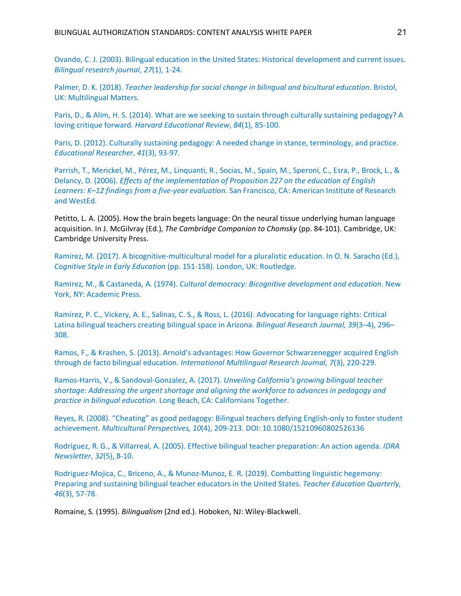Ovando, C. J. (2003). Bilingual education in the United States: Historical development and current issues. *Bilingual research journal*, *27*(1), 1-24.

Palmer, D. K. (2018). *Teacher leadership for social change in bilingual and bicultural education*. Bristol, UK: Multilingual Matters.

Paris, D., & Alim, H. S. (2014). What are we seeking to sustain through culturally sustaining pedagogy? A loving critique forward. *Harvard Educational Review*, *84*(1), 85-100.

Paris, D. (2012). Culturally sustaining pedagogy: A needed change in stance, terminology, and practice. *Educational Researcher*, *41*(3), 93-97.

Parrish, T., Merickel, M., Pérez, M., Linquanti, R., Socias, M., Spain, M., Speroni, C., Esra, P., Brock, L., & Delancy, D. (2006). *Effects of the implementation of Proposition 227 on the education of English Learners: K–12 findings from a five-year evaluation*. San Francisco, CA: American Institute of Research and WestEd.

Petitto, L. A. (2005). How the brain begets language: On the neural tissue underlying human language acquisition. In J. McGilvray (Ed.), *The Cambridge Companion to Chomsky* (pp. 84-101). Cambridge, UK: Cambridge University Press.

Ramírez, M. (2017). A bicognitive-multicultural model for a pluralistic education. In O. N. Saracho (Ed.), *Cognitive Style in Early Education* (pp. 151-158). London, UK: Routledge.

Ramirez, M., & Castaneda, A. (1974). *Cultural democracy: Bicognitive development and education*. New York, NY: Academic Press.

Ramírez, P. C., Vickery, A. E., Salinas, C. S., & Ross, L. (2016). Advocating for language rights: Critical Latina bilingual teachers creating bilingual space in Arizona. *Bilingual Research Journal, 39*(3–4), 296– 308.

Ramos, F., & Krashen, S. (2013). Arnold's advantages: How Governor Schwarzenegger acquired English through de facto bilingual education. *International Multilingual Research Journal, 7*(3), 220-229.

Ramos-Harris, V., & Sandoval-Gonzalez, A. (2017). *Unveiling California's growing bilingual teacher shortage: Addressing the urgent shortage and aligning the workforce to advances in pedagogy and practice in bilingual education*. Long Beach, CA: Californians Together.

Reyes, R. (2008). "Cheating" as good pedagogy: Bilingual teachers defying English-only to foster student achievement. *Multicultural Perspectives, 10*(4), 209-213. DOI: 10.1080/15210960802526136

Rodríguez, R. G., & Villarreal, A. (2005). Effective bilingual teacher preparation: An action agenda. *IDRA Newsletter*, *32*(5), 8-10.

Rodriguez-Mojica, C., Briceno, A., & Munoz-Munoz, E. R. (2019). Combatting linguistic hegemony: Preparing and sustaining bilingual teacher educators in the United States. *Teacher Education Quarterly, 46*(3), 57-78.

Romaine, S. (1995). *Bilingualism* (2nd ed.). Hoboken, NJ: Wiley-Blackwell.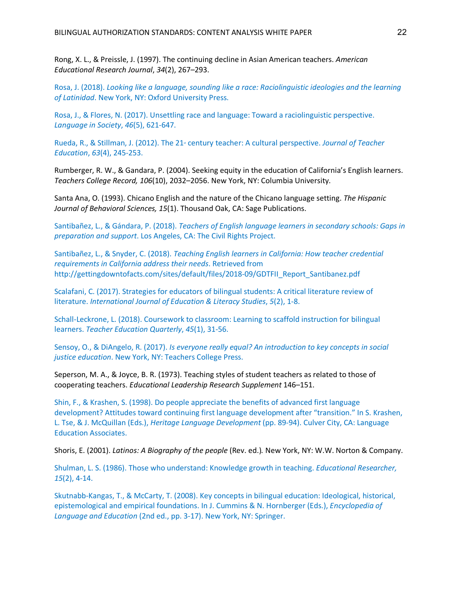Rong, X. L., & Preissle, J. (1997). The continuing decline in Asian American teachers. *American Educational Research Journal*, *34*(2), 267–293.

Rosa, J. (2018). *Looking like a language, sounding like a race: Raciolinguistic ideologies and the learning of Latinidad*. New York, NY: Oxford University Press.

Rosa, J., & Flores, N. (2017). Unsettling race and language: Toward a raciolinguistic perspective. *Language in Society*, *46*(5), 621-647.

Rueda, R., & Stillman, J. (2012). The 21<sup>®</sup> century teacher: A cultural perspective. *Journal of Teacher Education*, *63*(4), 245-253.

Rumberger, R. W., & Gandara, P. (2004). Seeking equity in the education of California's English learners. *Teachers College Record, 106*(10), 2032–2056. New York, NY: Columbia University.

Santa Ana, O. (1993). Chicano English and the nature of the Chicano language setting. *The Hispanic Journal of Behavioral Sciences, 15*(1). Thousand Oak, CA: Sage Publications.

Santibañez, L., & Gándara, P. (2018). *Teachers of English language learners in secondary schools: Gaps in preparation and support*. Los Angeles, CA: The Civil Rights Project.

Santibañez, L., & Snyder, C. (2018). *Teaching English learners in California: How teacher credential requirements in California address their needs*. Retrieved from http://gettingdowntofacts.com/sites/default/files/2018-09/GDTFII\_Report\_Santibanez.pdf

Scalafani, C. (2017). Strategies for educators of bilingual students: A critical literature review of literature. *International Journal of Education & Literacy Studies*, *5*(2), 1-8.

Schall-Leckrone, L. (2018). Coursework to classroom: Learning to scaffold instruction for bilingual learners. *Teacher Education Quarterly*, *45*(1), 31-56.

Sensoy, O., & DiAngelo, R. (2017). *Is everyone really equal? An introduction to key concepts in social justice education*. New York, NY: Teachers College Press.

Seperson, M. A., & Joyce, B. R. (1973). Teaching styles of student teachers as related to those of cooperating teachers. *Educational Leadership Research Supplement* 146–151.

Shin, F., & Krashen, S. (1998). Do people appreciate the benefits of advanced first language development? Attitudes toward continuing first language development after "transition." In S. Krashen, L. Tse, & J. McQuillan (Eds.), *Heritage Language Development* (pp. 89-94). Culver City, CA: Language Education Associates.

Shoris, E. (2001). *Latinos: A Biography of the people* (Rev. ed.)*.* New York, NY: W.W. Norton & Company.

Shulman, L. S. (1986). Those who understand: Knowledge growth in teaching. *Educational Researcher, 15*(2), 4-14.

Skutnabb-Kangas, T., & McCarty, T. (2008). Key concepts in bilingual education: Ideological, historical, epistemological and empirical foundations. In J. Cummins & N. Hornberger (Eds.), *Encyclopedia of Language and Education* (2nd ed., pp. 3-17). New York, NY: Springer.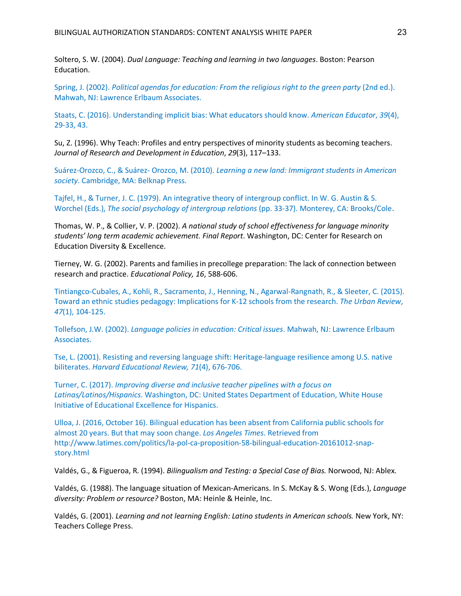Soltero, S. W. (2004). *Dual Language: Teaching and learning in two languages*. Boston: Pearson Education.

Spring, J. (2002). *Political agendas for education: From the religious right to the green party* (2nd ed.). Mahwah, NJ: Lawrence Erlbaum Associates.

Staats, C. (2016). Understanding implicit bias: What educators should know. *American Educator*, *39*(4), 29-33, 43.

Su, Z. (1996). Why Teach: Profiles and entry perspectives of minority students as becoming teachers. *Journal of Research and Development in Education*, *29*(3), 117–133.

Suárez-Orozco, C., & Suárez- Orozco, M. (2010). *Learning a new land: Immigrant students in American society*. Cambridge, MA: Belknap Press.

Tajfel, H., & Turner, J. C. (1979). An integrative theory of intergroup conflict. In W. G. Austin & S. Worchel (Eds.), *The social psychology of intergroup relations* (pp. 33-37). Monterey, CA: Brooks/Cole.

Thomas, W. P., & Collier, V. P. (2002). *A national study of school effectiveness for language minority students' long term academic achievement. Final Report*. Washington, DC: Center for Research on Education Diversity & Excellence.

Tierney, W. G. (2002). Parents and families in precollege preparation: The lack of connection between research and practice. *Educational Policy, 16*, 588-606.

Tintiangco-Cubales, A., Kohli, R., Sacramento, J., Henning, N., Agarwal-Rangnath, R., & Sleeter, C. (2015). Toward an ethnic studies pedagogy: Implications for K-12 schools from the research. *The Urban Review*, *47*(1), 104-125.

Tollefson, J.W. (2002). *Language policies in education: Critical issues*. Mahwah, NJ: Lawrence Erlbaum Associates.

Tse, L. (2001). Resisting and reversing language shift: Heritage-language resilience among U.S. native biliterates. *Harvard Educational Review, 71*(4), 676-706.

Turner, C. (2017). *Improving diverse and inclusive teacher pipelines with a focus on Latinas/Latinos/Hispanics*. Washington, DC: United States Department of Education, White House Initiative of Educational Excellence for Hispanics.

Ulloa, J. (2016, October 16). Bilingual education has been absent from California public schools for almost 20 years. But that may soon change. *Los Angeles Times*. Retrieved from http://www.latimes.com/politics/la-pol-ca-proposition-58-bilingual-education-20161012-snapstory.html

Valdés, G., & Figueroa, R. (1994). *Bilingualism and Testing: a Special Case of Bias.* Norwood, NJ: Ablex.

Valdés, G. (1988). The language situation of Mexican-Americans. In S. McKay & S. Wong (Eds.), *Language diversity: Problem or resource?* Boston, MA: Heinle & Heinle, Inc.

Valdés, G. (2001). *Learning and not learning English: Latino students in American schools.* New York, NY: Teachers College Press.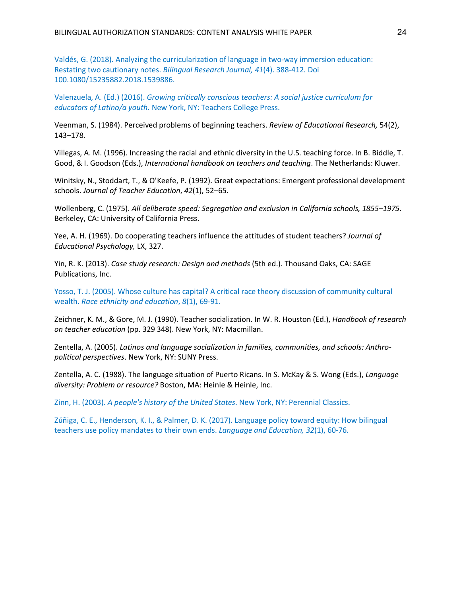Valdés, G. (2018). Analyzing the curricularization of language in two-way immersion education: Restating two cautionary notes. *Bilingual Research Journal, 41*(4). 388-412*.* Doi 100.1080/15235882.2018.1539886.

Valenzuela, A. (Ed.) (2016). *Growing critically conscious teachers: A social justice curriculum for educators of Latino/a youth.* New York, NY: Teachers College Press.

Veenman, S. (1984). Perceived problems of beginning teachers. *Review of Educational Research,* 54(2), 143–178.

Villegas, A. M. (1996). Increasing the racial and ethnic diversity in the U.S. teaching force. In B. Biddle, T. Good, & I. Goodson (Eds.), *International handbook on teachers and teaching*. The Netherlands: Kluwer.

Winitsky, N., Stoddart, T., & O'Keefe, P. (1992). Great expectations: Emergent professional development schools. *Journal of Teacher Education*, *42*(1), 52–65.

Wollenberg, C. (1975). *All deliberate speed: Segregation and exclusion in California schools, 1855–1975*. Berkeley, CA: University of California Press.

Yee, A. H. (1969). Do cooperating teachers influence the attitudes of student teachers? *Journal of Educational Psychology,* LX, 327.

Yin, R. K. (2013). *Case study research: Design and methods* (5th ed.). Thousand Oaks, CA: SAGE Publications, Inc.

Yosso, T. J. (2005). Whose culture has capital? A critical race theory discussion of community cultural wealth. *Race ethnicity and education*, *8*(1), 69-91.

Zeichner, K. M., & Gore, M. J. (1990). Teacher socialization. In W. R. Houston (Ed.), *Handbook of research on teacher education* (pp. 329 348). New York, NY: Macmillan.

Zentella, A. (2005). *Latinos and language socialization in families, communities, and schools: Anthropolitical perspectives*. New York, NY: SUNY Press.

Zentella, A. C. (1988). The language situation of Puerto Ricans. In S. McKay & S. Wong (Eds.), *Language diversity: Problem or resource?* Boston, MA: Heinle & Heinle, Inc.

Zinn, H. (2003). *A people's history of the United States*. New York, NY: Perennial Classics.

Zúñiga, C. E., Henderson, K. I., & Palmer, D. K. (2017). Language policy toward equity: How bilingual teachers use policy mandates to their own ends. *Language and Education, 32*(1), 60-76.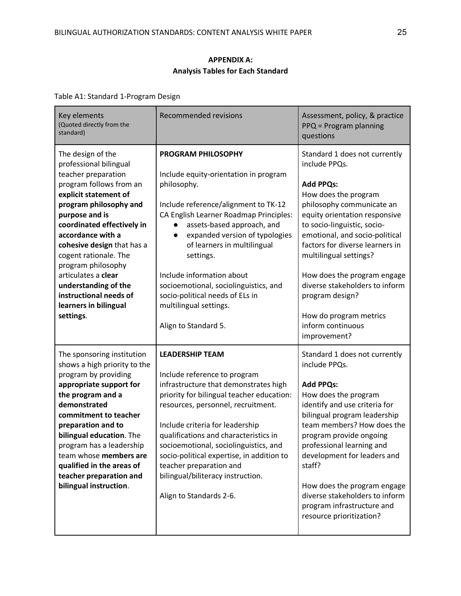## **APPENDIX A: Analysis Tables for Each Standard**

Table A1: Standard 1-Program Design

| Key elements<br>(Quoted directly from the<br>standard)                                                                                                                                                                                                                                                                                                                                                            | <b>Recommended revisions</b>                                                                                                                                                                                                                                                                                                                                                                                                                            | Assessment, policy, & practice<br>PPQ = Program planning<br>questions                                                                                                                                                                                                                                                                                                                                                                     |
|-------------------------------------------------------------------------------------------------------------------------------------------------------------------------------------------------------------------------------------------------------------------------------------------------------------------------------------------------------------------------------------------------------------------|---------------------------------------------------------------------------------------------------------------------------------------------------------------------------------------------------------------------------------------------------------------------------------------------------------------------------------------------------------------------------------------------------------------------------------------------------------|-------------------------------------------------------------------------------------------------------------------------------------------------------------------------------------------------------------------------------------------------------------------------------------------------------------------------------------------------------------------------------------------------------------------------------------------|
| The design of the<br>professional bilingual<br>teacher preparation<br>program follows from an<br>explicit statement of<br>program philosophy and<br>purpose and is<br>coordinated effectively in<br>accordance with a<br>cohesive design that has a<br>cogent rationale. The<br>program philosophy<br>articulates a clear<br>understanding of the<br>instructional needs of<br>learners in bilingual<br>settings. | <b>PROGRAM PHILOSOPHY</b><br>Include equity-orientation in program<br>philosophy.<br>Include reference/alignment to TK-12<br>CA English Learner Roadmap Principles:<br>assets-based approach, and<br>expanded version of typologies<br>$\bullet$<br>of learners in multilingual<br>settings.<br>Include information about<br>socioemotional, sociolinguistics, and<br>socio-political needs of ELs in<br>multilingual settings.<br>Align to Standard 5. | Standard 1 does not currently<br>include PPQs.<br><b>Add PPQs:</b><br>How does the program<br>philosophy communicate an<br>equity orientation responsive<br>to socio-linguistic, socio-<br>emotional, and socio-political<br>factors for diverse learners in<br>multilingual settings?<br>How does the program engage<br>diverse stakeholders to inform<br>program design?<br>How do program metrics<br>inform continuous<br>improvement? |
| The sponsoring institution<br>shows a high priority to the<br>program by providing<br>appropriate support for<br>the program and a<br>demonstrated<br>commitment to teacher<br>preparation and to<br>bilingual education. The<br>program has a leadership<br>team whose members are<br>qualified in the areas of<br>teacher preparation and<br>bilingual instruction.                                             | <b>LEADERSHIP TEAM</b><br>Include reference to program<br>infrastructure that demonstrates high<br>priority for bilingual teacher education:<br>resources, personnel, recruitment.<br>Include criteria for leadership<br>qualifications and characteristics in<br>socioemotional, sociolinguistics, and<br>socio-political expertise, in addition to<br>teacher preparation and<br>bilingual/biliteracy instruction.<br>Align to Standards 2-6.         | Standard 1 does not currently<br>include PPQs.<br><b>Add PPQs:</b><br>How does the program<br>identify and use criteria for<br>bilingual program leadership<br>team members? How does the<br>program provide ongoing<br>professional learning and<br>development for leaders and<br>staff?<br>How does the program engage<br>diverse stakeholders to inform<br>program infrastructure and<br>resource prioritization?                     |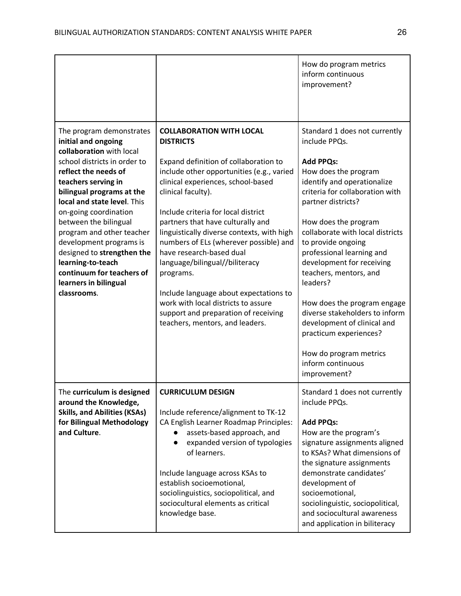|                                                                                                                                                                                                                                                                                                                                                                                                                                                          |                                                                                                                                                                                                                                                                                                                                                                                                                                                                                                                                                                                                                  | How do program metrics<br>inform continuous<br>improvement?                                                                                                                                                                                                                                                                                                                                                                                                                                                                                                   |
|----------------------------------------------------------------------------------------------------------------------------------------------------------------------------------------------------------------------------------------------------------------------------------------------------------------------------------------------------------------------------------------------------------------------------------------------------------|------------------------------------------------------------------------------------------------------------------------------------------------------------------------------------------------------------------------------------------------------------------------------------------------------------------------------------------------------------------------------------------------------------------------------------------------------------------------------------------------------------------------------------------------------------------------------------------------------------------|---------------------------------------------------------------------------------------------------------------------------------------------------------------------------------------------------------------------------------------------------------------------------------------------------------------------------------------------------------------------------------------------------------------------------------------------------------------------------------------------------------------------------------------------------------------|
| The program demonstrates<br>initial and ongoing<br>collaboration with local<br>school districts in order to<br>reflect the needs of<br>teachers serving in<br>bilingual programs at the<br>local and state level. This<br>on-going coordination<br>between the bilingual<br>program and other teacher<br>development programs is<br>designed to strengthen the<br>learning-to-teach<br>continuum for teachers of<br>learners in bilingual<br>classrooms. | <b>COLLABORATION WITH LOCAL</b><br><b>DISTRICTS</b><br>Expand definition of collaboration to<br>include other opportunities (e.g., varied<br>clinical experiences, school-based<br>clinical faculty).<br>Include criteria for local district<br>partners that have culturally and<br>linguistically diverse contexts, with high<br>numbers of ELs (wherever possible) and<br>have research-based dual<br>language/bilingual//biliteracy<br>programs.<br>Include language about expectations to<br>work with local districts to assure<br>support and preparation of receiving<br>teachers, mentors, and leaders. | Standard 1 does not currently<br>include PPQs.<br><b>Add PPQs:</b><br>How does the program<br>identify and operationalize<br>criteria for collaboration with<br>partner districts?<br>How does the program<br>collaborate with local districts<br>to provide ongoing<br>professional learning and<br>development for receiving<br>teachers, mentors, and<br>leaders?<br>How does the program engage<br>diverse stakeholders to inform<br>development of clinical and<br>practicum experiences?<br>How do program metrics<br>inform continuous<br>improvement? |
| The curriculum is designed<br>around the Knowledge,<br><b>Skills, and Abilities (KSAs)</b><br>for Bilingual Methodology<br>and Culture.                                                                                                                                                                                                                                                                                                                  | <b>CURRICULUM DESIGN</b><br>Include reference/alignment to TK-12<br>CA English Learner Roadmap Principles:<br>assets-based approach, and<br>expanded version of typologies<br>of learners.<br>Include language across KSAs to<br>establish socioemotional,<br>sociolinguistics, sociopolitical, and<br>sociocultural elements as critical<br>knowledge base.                                                                                                                                                                                                                                                     | Standard 1 does not currently<br>include PPQs.<br><b>Add PPQs:</b><br>How are the program's<br>signature assignments aligned<br>to KSAs? What dimensions of<br>the signature assignments<br>demonstrate candidates'<br>development of<br>socioemotional,<br>sociolinguistic, sociopolitical,<br>and sociocultural awareness<br>and application in biliteracy                                                                                                                                                                                                  |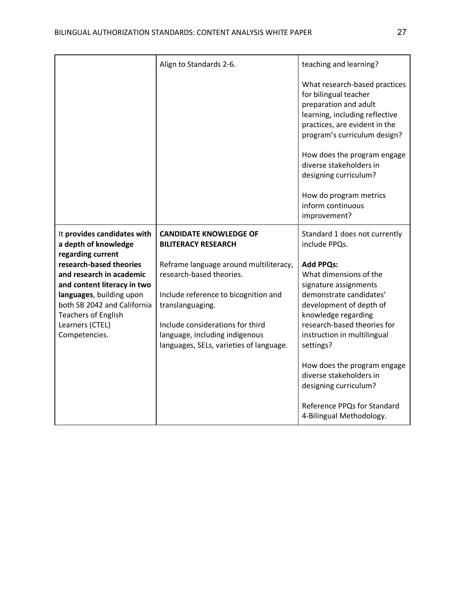|                                                                                                         | Align to Standards 2-6.                                                                                       | teaching and learning?                                                                                                                                                             |
|---------------------------------------------------------------------------------------------------------|---------------------------------------------------------------------------------------------------------------|------------------------------------------------------------------------------------------------------------------------------------------------------------------------------------|
|                                                                                                         |                                                                                                               | What research-based practices<br>for bilingual teacher<br>preparation and adult<br>learning, including reflective<br>practices, are evident in the<br>program's curriculum design? |
|                                                                                                         |                                                                                                               | How does the program engage<br>diverse stakeholders in<br>designing curriculum?                                                                                                    |
|                                                                                                         |                                                                                                               | How do program metrics<br>inform continuous<br>improvement?                                                                                                                        |
| It provides candidates with<br>a depth of knowledge                                                     | <b>CANDIDATE KNOWLEDGE OF</b><br><b>BILITERACY RESEARCH</b>                                                   | Standard 1 does not currently<br>include PPQs.                                                                                                                                     |
| regarding current<br>research-based theories<br>and research in academic<br>and content literacy in two | Reframe language around multiliteracy,<br>research-based theories.                                            | <b>Add PPQs:</b><br>What dimensions of the<br>signature assignments                                                                                                                |
| languages, building upon<br>both SB 2042 and California<br><b>Teachers of English</b>                   | Include reference to bicognition and<br>translanguaging.                                                      | demonstrate candidates'<br>development of depth of<br>knowledge regarding                                                                                                          |
| Learners (CTEL)<br>Competencies.                                                                        | Include considerations for third<br>language, including indigenous<br>languages, SELs, varieties of language. | research-based theories for<br>instruction in multilingual<br>settings?                                                                                                            |
|                                                                                                         |                                                                                                               | How does the program engage<br>diverse stakeholders in<br>designing curriculum?                                                                                                    |
|                                                                                                         |                                                                                                               | Reference PPQs for Standard<br>4-Bilingual Methodology.                                                                                                                            |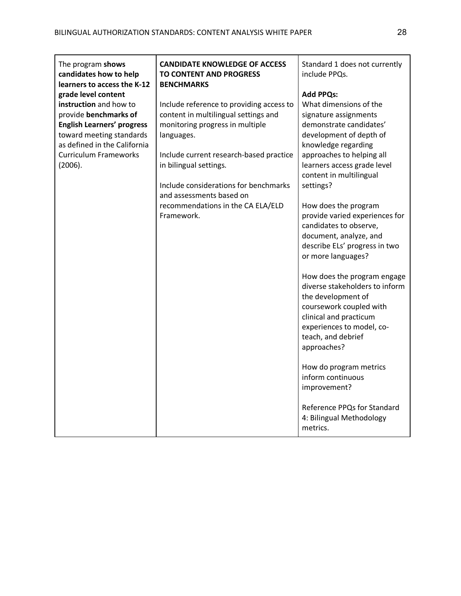| The program shows<br>candidates how to help<br>learners to access the K-12                                                                                                                                         | <b>CANDIDATE KNOWLEDGE OF ACCESS</b><br><b>TO CONTENT AND PROGRESS</b><br><b>BENCHMARKS</b>                                                                                                                                                                                                                                    | Standard 1 does not currently<br>include PPQs.                                                                                                                                                                                                                                                                                                                                                                                                                                                                                                                                                                           |
|--------------------------------------------------------------------------------------------------------------------------------------------------------------------------------------------------------------------|--------------------------------------------------------------------------------------------------------------------------------------------------------------------------------------------------------------------------------------------------------------------------------------------------------------------------------|--------------------------------------------------------------------------------------------------------------------------------------------------------------------------------------------------------------------------------------------------------------------------------------------------------------------------------------------------------------------------------------------------------------------------------------------------------------------------------------------------------------------------------------------------------------------------------------------------------------------------|
| grade level content<br>instruction and how to<br>provide benchmarks of<br><b>English Learners' progress</b><br>toward meeting standards<br>as defined in the California<br><b>Curriculum Frameworks</b><br>(2006). | Include reference to providing access to<br>content in multilingual settings and<br>monitoring progress in multiple<br>languages.<br>Include current research-based practice<br>in bilingual settings.<br>Include considerations for benchmarks<br>and assessments based on<br>recommendations in the CA ELA/ELD<br>Framework. | <b>Add PPQs:</b><br>What dimensions of the<br>signature assignments<br>demonstrate candidates'<br>development of depth of<br>knowledge regarding<br>approaches to helping all<br>learners access grade level<br>content in multilingual<br>settings?<br>How does the program<br>provide varied experiences for<br>candidates to observe,<br>document, analyze, and<br>describe ELs' progress in two<br>or more languages?<br>How does the program engage<br>diverse stakeholders to inform<br>the development of<br>coursework coupled with<br>clinical and practicum<br>experiences to model, co-<br>teach, and debrief |
|                                                                                                                                                                                                                    |                                                                                                                                                                                                                                                                                                                                | approaches?<br>How do program metrics<br>inform continuous                                                                                                                                                                                                                                                                                                                                                                                                                                                                                                                                                               |
|                                                                                                                                                                                                                    |                                                                                                                                                                                                                                                                                                                                | improvement?<br>Reference PPQs for Standard<br>4: Bilingual Methodology<br>metrics.                                                                                                                                                                                                                                                                                                                                                                                                                                                                                                                                      |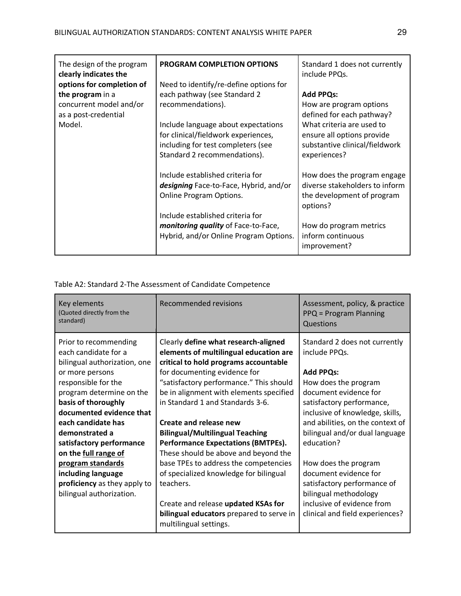| The design of the program<br>clearly indicates the<br>options for completion of<br>the program in a<br>concurrent model and/or<br>as a post-credential<br>Model. | <b>PROGRAM COMPLETION OPTIONS</b><br>Need to identify/re-define options for<br>each pathway (see Standard 2<br>recommendations).<br>Include language about expectations<br>for clinical/fieldwork experiences,<br>including for test completers (see<br>Standard 2 recommendations). | Standard 1 does not currently<br>include PPQs.<br><b>Add PPQs:</b><br>How are program options<br>defined for each pathway?<br>What criteria are used to<br>ensure all options provide<br>substantive clinical/fieldwork<br>experiences? |
|------------------------------------------------------------------------------------------------------------------------------------------------------------------|--------------------------------------------------------------------------------------------------------------------------------------------------------------------------------------------------------------------------------------------------------------------------------------|-----------------------------------------------------------------------------------------------------------------------------------------------------------------------------------------------------------------------------------------|
|                                                                                                                                                                  | Include established criteria for<br>designing Face-to-Face, Hybrid, and/or<br><b>Online Program Options.</b><br>Include established criteria for<br>monitoring quality of Face-to-Face,<br>Hybrid, and/or Online Program Options.                                                    | How does the program engage<br>diverse stakeholders to inform<br>the development of program<br>options?<br>How do program metrics<br>inform continuous<br>improvement?                                                                  |

## Table A2: Standard 2-The Assessment of Candidate Competence

| Key elements<br>(Quoted directly from the<br>standard)                                                                                                                                                                                                                     | Recommended revisions                                                                                                                                                                                                                                                                                                                                                                              | Assessment, policy, & practice<br>PPQ = Program Planning<br>Questions                                                                                                                                                                                                   |
|----------------------------------------------------------------------------------------------------------------------------------------------------------------------------------------------------------------------------------------------------------------------------|----------------------------------------------------------------------------------------------------------------------------------------------------------------------------------------------------------------------------------------------------------------------------------------------------------------------------------------------------------------------------------------------------|-------------------------------------------------------------------------------------------------------------------------------------------------------------------------------------------------------------------------------------------------------------------------|
| Prior to recommending<br>each candidate for a<br>bilingual authorization, one<br>or more persons<br>responsible for the<br>program determine on the<br>basis of thoroughly<br>documented evidence that<br>each candidate has<br>demonstrated a<br>satisfactory performance | Clearly define what research-aligned<br>elements of multilingual education are<br>critical to hold programs accountable<br>for documenting evidence for<br>"satisfactory performance." This should<br>be in alignment with elements specified<br>in Standard 1 and Standards 3-6.<br>Create and release new<br><b>Bilingual/Multilingual Teaching</b><br><b>Performance Expectations (BMTPEs).</b> | Standard 2 does not currently<br>include PPQs.<br><b>Add PPQs:</b><br>How does the program<br>document evidence for<br>satisfactory performance,<br>inclusive of knowledge, skills,<br>and abilities, on the context of<br>bilingual and/or dual language<br>education? |
| on the full range of<br>program standards                                                                                                                                                                                                                                  | These should be above and beyond the<br>base TPEs to address the competencies                                                                                                                                                                                                                                                                                                                      | How does the program                                                                                                                                                                                                                                                    |
| including language                                                                                                                                                                                                                                                         | of specialized knowledge for bilingual                                                                                                                                                                                                                                                                                                                                                             | document evidence for                                                                                                                                                                                                                                                   |
| proficiency as they apply to                                                                                                                                                                                                                                               | teachers.                                                                                                                                                                                                                                                                                                                                                                                          | satisfactory performance of                                                                                                                                                                                                                                             |
| bilingual authorization.                                                                                                                                                                                                                                                   | Create and release updated KSAs for<br>bilingual educators prepared to serve in<br>multilingual settings.                                                                                                                                                                                                                                                                                          | bilingual methodology<br>inclusive of evidence from<br>clinical and field experiences?                                                                                                                                                                                  |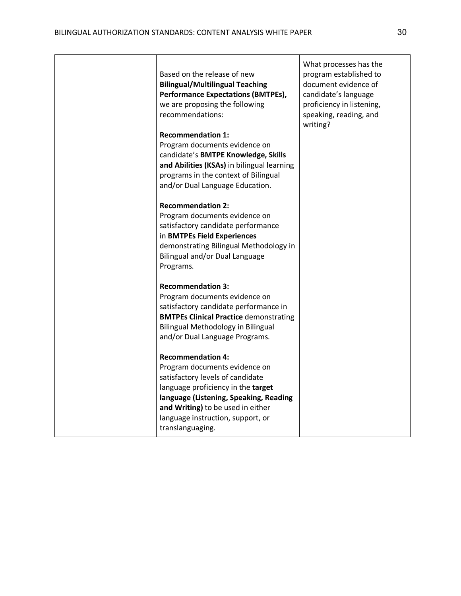|  | Based on the release of new<br><b>Bilingual/Multilingual Teaching</b><br><b>Performance Expectations (BMTPEs),</b><br>we are proposing the following<br>recommendations:<br><b>Recommendation 1:</b><br>Program documents evidence on<br>candidate's BMTPE Knowledge, Skills<br>and Abilities (KSAs) in bilingual learning<br>programs in the context of Bilingual<br>and/or Dual Language Education.<br><b>Recommendation 2:</b><br>Program documents evidence on<br>satisfactory candidate performance<br>in BMTPEs Field Experiences<br>demonstrating Bilingual Methodology in<br>Bilingual and/or Dual Language<br>Programs.<br><b>Recommendation 3:</b><br>Program documents evidence on<br>satisfactory candidate performance in<br><b>BMTPEs Clinical Practice demonstrating</b><br>Bilingual Methodology in Bilingual<br>and/or Dual Language Programs.<br><b>Recommendation 4:</b><br>Program documents evidence on<br>satisfactory levels of candidate<br>language proficiency in the target<br>language (Listening, Speaking, Reading<br>and Writing) to be used in either<br>language instruction, support, or<br>translanguaging. | What processes has the<br>program established to<br>document evidence of<br>candidate's language<br>proficiency in listening,<br>speaking, reading, and<br>writing? |
|--|------------------------------------------------------------------------------------------------------------------------------------------------------------------------------------------------------------------------------------------------------------------------------------------------------------------------------------------------------------------------------------------------------------------------------------------------------------------------------------------------------------------------------------------------------------------------------------------------------------------------------------------------------------------------------------------------------------------------------------------------------------------------------------------------------------------------------------------------------------------------------------------------------------------------------------------------------------------------------------------------------------------------------------------------------------------------------------------------------------------------------------------------|---------------------------------------------------------------------------------------------------------------------------------------------------------------------|
|--|------------------------------------------------------------------------------------------------------------------------------------------------------------------------------------------------------------------------------------------------------------------------------------------------------------------------------------------------------------------------------------------------------------------------------------------------------------------------------------------------------------------------------------------------------------------------------------------------------------------------------------------------------------------------------------------------------------------------------------------------------------------------------------------------------------------------------------------------------------------------------------------------------------------------------------------------------------------------------------------------------------------------------------------------------------------------------------------------------------------------------------------------|---------------------------------------------------------------------------------------------------------------------------------------------------------------------|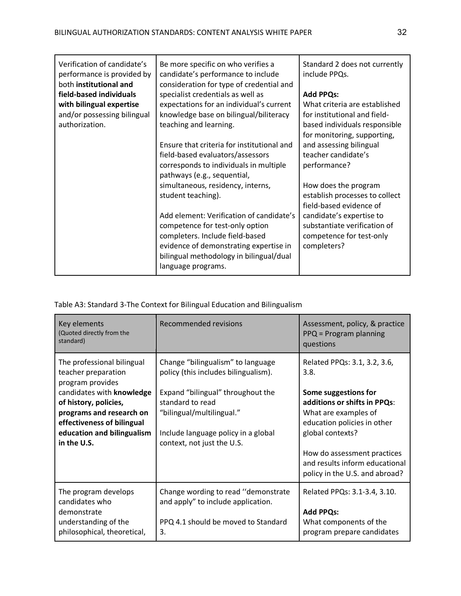| Verification of candidate's<br>performance is provided by<br>both institutional and | Be more specific on who verifies a<br>candidate's performance to include<br>consideration for type of credential and | Standard 2 does not currently<br>include PPQs. |
|-------------------------------------------------------------------------------------|----------------------------------------------------------------------------------------------------------------------|------------------------------------------------|
| field-based individuals                                                             | specialist credentials as well as                                                                                    | <b>Add PPQs:</b>                               |
| with bilingual expertise                                                            | expectations for an individual's current                                                                             | What criteria are established                  |
| and/or possessing bilingual                                                         | knowledge base on bilingual/biliteracy                                                                               | for institutional and field-                   |
| authorization.                                                                      | teaching and learning.                                                                                               | based individuals responsible                  |
|                                                                                     |                                                                                                                      | for monitoring, supporting,                    |
|                                                                                     | Ensure that criteria for institutional and                                                                           | and assessing bilingual                        |
|                                                                                     | field-based evaluators/assessors                                                                                     | teacher candidate's                            |
|                                                                                     | corresponds to individuals in multiple                                                                               | performance?                                   |
|                                                                                     | pathways (e.g., sequential,                                                                                          |                                                |
|                                                                                     | simultaneous, residency, interns,                                                                                    | How does the program                           |
|                                                                                     | student teaching).                                                                                                   | establish processes to collect                 |
|                                                                                     |                                                                                                                      | field-based evidence of                        |
|                                                                                     | Add element: Verification of candidate's                                                                             | candidate's expertise to                       |
|                                                                                     | competence for test-only option                                                                                      | substantiate verification of                   |
|                                                                                     | completers. Include field-based                                                                                      | competence for test-only                       |
|                                                                                     | evidence of demonstrating expertise in                                                                               | completers?                                    |
|                                                                                     | bilingual methodology in bilingual/dual                                                                              |                                                |
|                                                                                     | language programs.                                                                                                   |                                                |

Table A3: Standard 3-The Context for Bilingual Education and Bilingualism

| Key elements<br>(Quoted directly from the<br>standard)                                                        | <b>Recommended revisions</b>                                                                                           | Assessment, policy, & practice<br>$PPQ = Program$ planning<br>questions                                  |
|---------------------------------------------------------------------------------------------------------------|------------------------------------------------------------------------------------------------------------------------|----------------------------------------------------------------------------------------------------------|
| The professional bilingual<br>teacher preparation<br>program provides<br>candidates with knowledge            | Change "bilingualism" to language<br>policy (this includes bilingualism).<br>Expand "bilingual" throughout the         | Related PPQs: 3.1, 3.2, 3.6,<br>3.8.<br>Some suggestions for                                             |
| of history, policies,<br>programs and research on<br>effectiveness of bilingual<br>education and bilingualism | standard to read<br>"bilingual/multilingual."<br>Include language policy in a global                                   | additions or shifts in PPQs:<br>What are examples of<br>education policies in other<br>global contexts?  |
| in the U.S.                                                                                                   | context, not just the U.S.                                                                                             | How do assessment practices<br>and results inform educational<br>policy in the U.S. and abroad?          |
| The program develops<br>candidates who<br>demonstrate<br>understanding of the<br>philosophical, theoretical,  | Change wording to read "demonstrate<br>and apply" to include application.<br>PPQ 4.1 should be moved to Standard<br>3. | Related PPQs: 3.1-3.4, 3.10.<br><b>Add PPQs:</b><br>What components of the<br>program prepare candidates |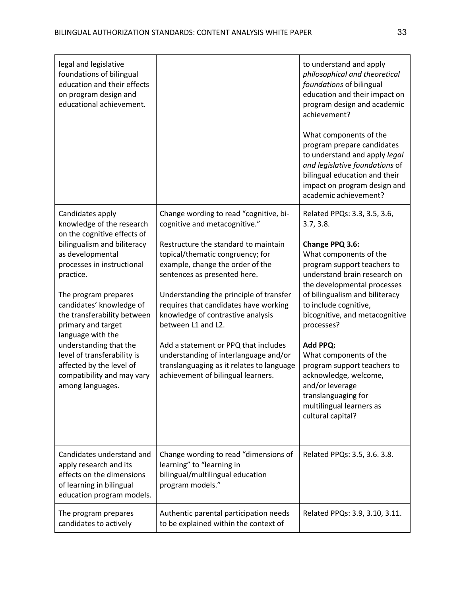| legal and legislative<br>foundations of bilingual<br>education and their effects<br>on program design and<br>educational achievement.                                         |                                                                                                                                                                                                                                  | to understand and apply<br>philosophical and theoretical<br>foundations of bilingual<br>education and their impact on<br>program design and academic<br>achievement?<br>What components of the<br>program prepare candidates<br>to understand and apply legal |
|-------------------------------------------------------------------------------------------------------------------------------------------------------------------------------|----------------------------------------------------------------------------------------------------------------------------------------------------------------------------------------------------------------------------------|---------------------------------------------------------------------------------------------------------------------------------------------------------------------------------------------------------------------------------------------------------------|
|                                                                                                                                                                               |                                                                                                                                                                                                                                  | and legislative foundations of<br>bilingual education and their<br>impact on program design and<br>academic achievement?                                                                                                                                      |
| Candidates apply<br>knowledge of the research                                                                                                                                 | Change wording to read "cognitive, bi-<br>cognitive and metacognitive."                                                                                                                                                          | Related PPQs: 3.3, 3.5, 3.6,<br>3.7, 3.8.                                                                                                                                                                                                                     |
| on the cognitive effects of<br>bilingualism and biliteracy<br>as developmental<br>processes in instructional<br>practice.<br>The program prepares<br>candidates' knowledge of | Restructure the standard to maintain<br>topical/thematic congruency; for<br>example, change the order of the<br>sentences as presented here.<br>Understanding the principle of transfer<br>requires that candidates have working | Change PPQ 3.6:<br>What components of the<br>program support teachers to<br>understand brain research on<br>the developmental processes<br>of bilingualism and biliteracy<br>to include cognitive,                                                            |
| the transferability between<br>primary and target<br>language with the                                                                                                        | knowledge of contrastive analysis<br>between L1 and L2.                                                                                                                                                                          | bicognitive, and metacognitive<br>processes?                                                                                                                                                                                                                  |
| understanding that the<br>level of transferability is<br>affected by the level of<br>compatibility and may vary<br>among languages.                                           | Add a statement or PPQ that includes<br>understanding of interlanguage and/or<br>translanguaging as it relates to language<br>achievement of bilingual learners.                                                                 | Add PPQ:<br>What components of the<br>program support teachers to<br>acknowledge, welcome,<br>and/or leverage<br>translanguaging for<br>multilingual learners as<br>cultural capital?                                                                         |
| Candidates understand and<br>apply research and its<br>effects on the dimensions<br>of learning in bilingual<br>education program models.                                     | Change wording to read "dimensions of<br>learning" to "learning in<br>bilingual/multilingual education<br>program models."                                                                                                       | Related PPQs: 3.5, 3.6. 3.8.                                                                                                                                                                                                                                  |
| The program prepares<br>candidates to actively                                                                                                                                | Authentic parental participation needs<br>to be explained within the context of                                                                                                                                                  | Related PPQs: 3.9, 3.10, 3.11.                                                                                                                                                                                                                                |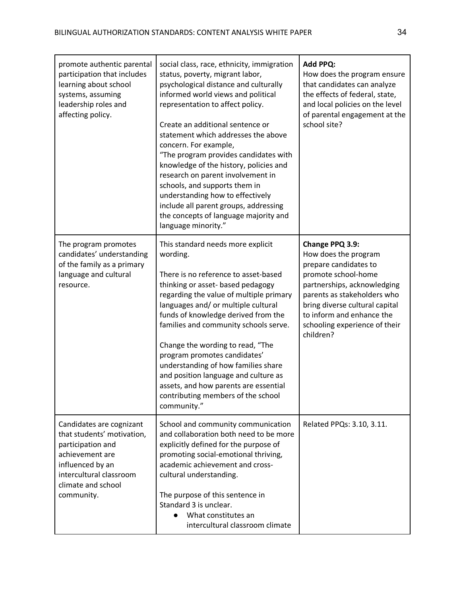| promote authentic parental<br>participation that includes<br>learning about school<br>systems, assuming<br>leadership roles and<br>affecting policy.                              | social class, race, ethnicity, immigration<br>status, poverty, migrant labor,<br>psychological distance and culturally<br>informed world views and political<br>representation to affect policy.<br>Create an additional sentence or<br>statement which addresses the above<br>concern. For example,<br>"The program provides candidates with<br>knowledge of the history, policies and<br>research on parent involvement in<br>schools, and supports them in<br>understanding how to effectively<br>include all parent groups, addressing<br>the concepts of language majority and<br>language minority." | Add PPQ:<br>How does the program ensure<br>that candidates can analyze<br>the effects of federal, state,<br>and local policies on the level<br>of parental engagement at the<br>school site?                                                                       |
|-----------------------------------------------------------------------------------------------------------------------------------------------------------------------------------|------------------------------------------------------------------------------------------------------------------------------------------------------------------------------------------------------------------------------------------------------------------------------------------------------------------------------------------------------------------------------------------------------------------------------------------------------------------------------------------------------------------------------------------------------------------------------------------------------------|--------------------------------------------------------------------------------------------------------------------------------------------------------------------------------------------------------------------------------------------------------------------|
| The program promotes<br>candidates' understanding<br>of the family as a primary<br>language and cultural<br>resource.                                                             | This standard needs more explicit<br>wording.<br>There is no reference to asset-based<br>thinking or asset- based pedagogy<br>regarding the value of multiple primary<br>languages and/ or multiple cultural<br>funds of knowledge derived from the<br>families and community schools serve.<br>Change the wording to read, "The<br>program promotes candidates'<br>understanding of how families share<br>and position language and culture as<br>assets, and how parents are essential<br>contributing members of the school<br>community."                                                              | Change PPQ 3.9:<br>How does the program<br>prepare candidates to<br>promote school-home<br>partnerships, acknowledging<br>parents as stakeholders who<br>bring diverse cultural capital<br>to inform and enhance the<br>schooling experience of their<br>children? |
| Candidates are cognizant<br>that students' motivation,<br>participation and<br>achievement are<br>influenced by an<br>intercultural classroom<br>climate and school<br>community. | School and community communication<br>and collaboration both need to be more<br>explicitly defined for the purpose of<br>promoting social-emotional thriving,<br>academic achievement and cross-<br>cultural understanding.<br>The purpose of this sentence in<br>Standard 3 is unclear.<br>What constitutes an<br>intercultural classroom climate                                                                                                                                                                                                                                                         | Related PPQs: 3.10, 3.11.                                                                                                                                                                                                                                          |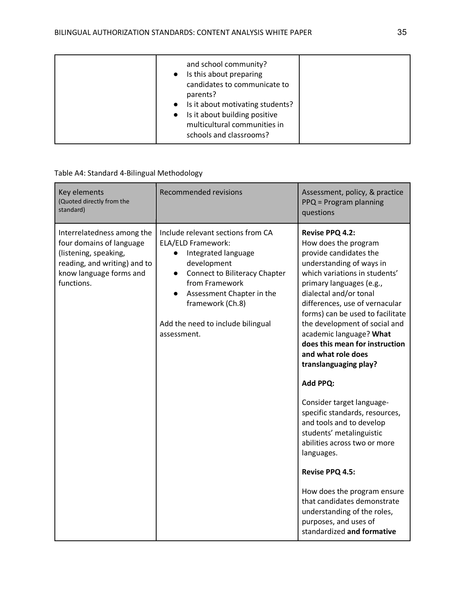| and school community?<br>Is this about preparing<br>candidates to communicate to<br>parents?<br>• Is it about motivating students?<br>• Is it about building positive<br>multicultural communities in<br>schools and classrooms? |  |
|----------------------------------------------------------------------------------------------------------------------------------------------------------------------------------------------------------------------------------|--|
|----------------------------------------------------------------------------------------------------------------------------------------------------------------------------------------------------------------------------------|--|

### Table A4: Standard 4-Bilingual Methodology

| Key elements<br>(Quoted directly from the<br>standard)                                                                                                   | <b>Recommended revisions</b>                                                                                                                                                                                                                                                           | Assessment, policy, & practice<br>PPQ = Program planning<br>questions                                                                                                                                                                                                                                                                                                                                                                                                                                                                                                                                                                                                                                                                                                  |
|----------------------------------------------------------------------------------------------------------------------------------------------------------|----------------------------------------------------------------------------------------------------------------------------------------------------------------------------------------------------------------------------------------------------------------------------------------|------------------------------------------------------------------------------------------------------------------------------------------------------------------------------------------------------------------------------------------------------------------------------------------------------------------------------------------------------------------------------------------------------------------------------------------------------------------------------------------------------------------------------------------------------------------------------------------------------------------------------------------------------------------------------------------------------------------------------------------------------------------------|
| Interrelatedness among the<br>four domains of language<br>(listening, speaking,<br>reading, and writing) and to<br>know language forms and<br>functions. | Include relevant sections from CA<br>ELA/ELD Framework:<br>Integrated language<br>development<br><b>Connect to Biliteracy Chapter</b><br>$\bullet$<br>from Framework<br>Assessment Chapter in the<br>$\bullet$<br>framework (Ch.8)<br>Add the need to include bilingual<br>assessment. | Revise PPQ 4.2:<br>How does the program<br>provide candidates the<br>understanding of ways in<br>which variations in students'<br>primary languages (e.g.,<br>dialectal and/or tonal<br>differences, use of vernacular<br>forms) can be used to facilitate<br>the development of social and<br>academic language? What<br>does this mean for instruction<br>and what role does<br>translanguaging play?<br><b>Add PPQ:</b><br>Consider target language-<br>specific standards, resources,<br>and tools and to develop<br>students' metalinguistic<br>abilities across two or more<br>languages.<br>Revise PPQ 4.5:<br>How does the program ensure<br>that candidates demonstrate<br>understanding of the roles,<br>purposes, and uses of<br>standardized and formative |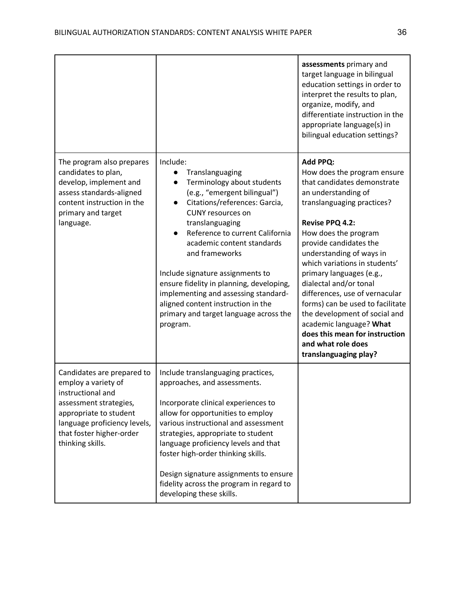|                                                                                                                                                                                                            |                                                                                                                                                                                                                                                                                                                                                                                                                                                                                               | assessments primary and<br>target language in bilingual<br>education settings in order to<br>interpret the results to plan,<br>organize, modify, and<br>differentiate instruction in the<br>appropriate language(s) in<br>bilingual education settings?                                                                                                                                                                                                                                                                                       |
|------------------------------------------------------------------------------------------------------------------------------------------------------------------------------------------------------------|-----------------------------------------------------------------------------------------------------------------------------------------------------------------------------------------------------------------------------------------------------------------------------------------------------------------------------------------------------------------------------------------------------------------------------------------------------------------------------------------------|-----------------------------------------------------------------------------------------------------------------------------------------------------------------------------------------------------------------------------------------------------------------------------------------------------------------------------------------------------------------------------------------------------------------------------------------------------------------------------------------------------------------------------------------------|
| The program also prepares<br>candidates to plan,<br>develop, implement and<br>assess standards-aligned<br>content instruction in the<br>primary and target<br>language.                                    | Include:<br>Translanguaging<br>Terminology about students<br>(e.g., "emergent bilingual")<br>Citations/references: Garcia,<br>$\bullet$<br><b>CUNY</b> resources on<br>translanguaging<br>Reference to current California<br>academic content standards<br>and frameworks<br>Include signature assignments to<br>ensure fidelity in planning, developing,<br>implementing and assessing standard-<br>aligned content instruction in the<br>primary and target language across the<br>program. | <b>Add PPQ:</b><br>How does the program ensure<br>that candidates demonstrate<br>an understanding of<br>translanguaging practices?<br>Revise PPQ 4.2:<br>How does the program<br>provide candidates the<br>understanding of ways in<br>which variations in students'<br>primary languages (e.g.,<br>dialectal and/or tonal<br>differences, use of vernacular<br>forms) can be used to facilitate<br>the development of social and<br>academic language? What<br>does this mean for instruction<br>and what role does<br>translanguaging play? |
| Candidates are prepared to<br>employ a variety of<br>instructional and<br>assessment strategies,<br>appropriate to student<br>language proficiency levels,<br>that foster higher-order<br>thinking skills. | Include translanguaging practices,<br>approaches, and assessments.<br>Incorporate clinical experiences to<br>allow for opportunities to employ<br>various instructional and assessment<br>strategies, appropriate to student<br>language proficiency levels and that<br>foster high-order thinking skills.<br>Design signature assignments to ensure<br>fidelity across the program in regard to<br>developing these skills.                                                                  |                                                                                                                                                                                                                                                                                                                                                                                                                                                                                                                                               |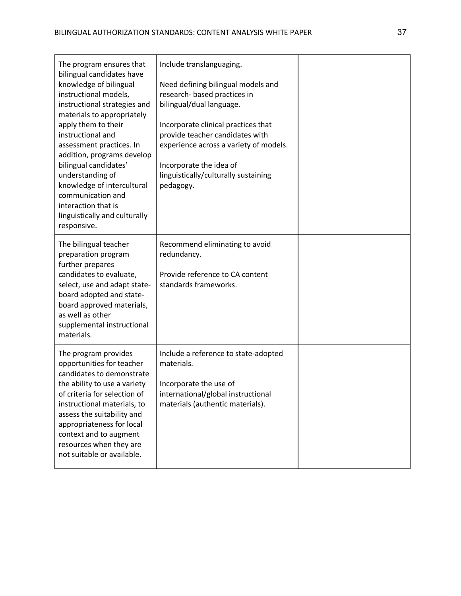| The program ensures that<br>bilingual candidates have<br>knowledge of bilingual<br>instructional models,<br>instructional strategies and<br>materials to appropriately<br>apply them to their<br>instructional and<br>assessment practices. In<br>addition, programs develop<br>bilingual candidates'<br>understanding of<br>knowledge of intercultural<br>communication and<br>interaction that is<br>linguistically and culturally<br>responsive. | Include translanguaging.<br>Need defining bilingual models and<br>research- based practices in<br>bilingual/dual language.<br>Incorporate clinical practices that<br>provide teacher candidates with<br>experience across a variety of models.<br>Incorporate the idea of<br>linguistically/culturally sustaining<br>pedagogy. |  |
|-----------------------------------------------------------------------------------------------------------------------------------------------------------------------------------------------------------------------------------------------------------------------------------------------------------------------------------------------------------------------------------------------------------------------------------------------------|--------------------------------------------------------------------------------------------------------------------------------------------------------------------------------------------------------------------------------------------------------------------------------------------------------------------------------|--|
| The bilingual teacher<br>preparation program<br>further prepares<br>candidates to evaluate,<br>select, use and adapt state-<br>board adopted and state-<br>board approved materials,<br>as well as other<br>supplemental instructional<br>materials.                                                                                                                                                                                                | Recommend eliminating to avoid<br>redundancy.<br>Provide reference to CA content<br>standards frameworks.                                                                                                                                                                                                                      |  |
| The program provides<br>opportunities for teacher<br>candidates to demonstrate<br>the ability to use a variety<br>of criteria for selection of<br>instructional materials, to<br>assess the suitability and<br>appropriateness for local<br>context and to augment<br>resources when they are<br>not suitable or available.                                                                                                                         | Include a reference to state-adopted<br>materials.<br>Incorporate the use of<br>international/global instructional<br>materials (authentic materials).                                                                                                                                                                         |  |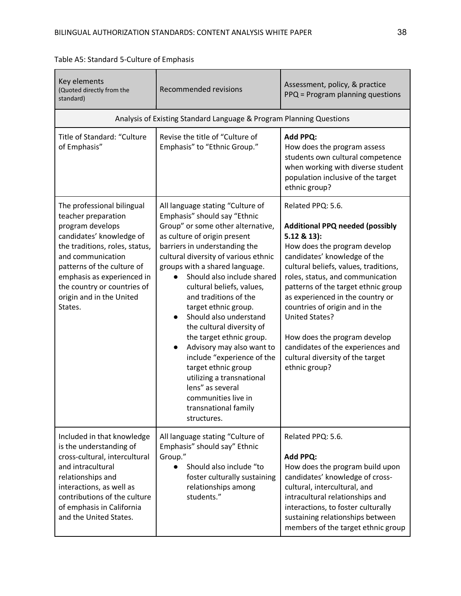| Key elements<br>(Quoted directly from the<br>standard)                                                                                                                                                                                                                                     | <b>Recommended revisions</b>                                                                                                                                                                                                                                                                                                                                                                                                                                                                                                                                                                                                                                               | Assessment, policy, & practice<br>PPQ = Program planning questions                                                                                                                                                                                                                                                                                                                                                                                                                        |
|--------------------------------------------------------------------------------------------------------------------------------------------------------------------------------------------------------------------------------------------------------------------------------------------|----------------------------------------------------------------------------------------------------------------------------------------------------------------------------------------------------------------------------------------------------------------------------------------------------------------------------------------------------------------------------------------------------------------------------------------------------------------------------------------------------------------------------------------------------------------------------------------------------------------------------------------------------------------------------|-------------------------------------------------------------------------------------------------------------------------------------------------------------------------------------------------------------------------------------------------------------------------------------------------------------------------------------------------------------------------------------------------------------------------------------------------------------------------------------------|
|                                                                                                                                                                                                                                                                                            | Analysis of Existing Standard Language & Program Planning Questions                                                                                                                                                                                                                                                                                                                                                                                                                                                                                                                                                                                                        |                                                                                                                                                                                                                                                                                                                                                                                                                                                                                           |
| Title of Standard: "Culture<br>of Emphasis"                                                                                                                                                                                                                                                | Revise the title of "Culture of<br>Emphasis" to "Ethnic Group."                                                                                                                                                                                                                                                                                                                                                                                                                                                                                                                                                                                                            | <b>Add PPQ:</b><br>How does the program assess<br>students own cultural competence<br>when working with diverse student<br>population inclusive of the target<br>ethnic group?                                                                                                                                                                                                                                                                                                            |
| The professional bilingual<br>teacher preparation<br>program develops<br>candidates' knowledge of<br>the traditions, roles, status,<br>and communication<br>patterns of the culture of<br>emphasis as experienced in<br>the country or countries of<br>origin and in the United<br>States. | All language stating "Culture of<br>Emphasis" should say "Ethnic<br>Group" or some other alternative,<br>as culture of origin present<br>barriers in understanding the<br>cultural diversity of various ethnic<br>groups with a shared language.<br>Should also include shared<br>cultural beliefs, values,<br>and traditions of the<br>target ethnic group.<br>Should also understand<br>$\bullet$<br>the cultural diversity of<br>the target ethnic group.<br>Advisory may also want to<br>$\bullet$<br>include "experience of the<br>target ethnic group<br>utilizing a transnational<br>lens" as several<br>communities live in<br>transnational family<br>structures. | Related PPQ: 5.6.<br><b>Additional PPQ needed (possibly</b><br>$5.12 & 13$ :<br>How does the program develop<br>candidates' knowledge of the<br>cultural beliefs, values, traditions,<br>roles, status, and communication<br>patterns of the target ethnic group<br>as experienced in the country or<br>countries of origin and in the<br><b>United States?</b><br>How does the program develop<br>candidates of the experiences and<br>cultural diversity of the target<br>ethnic group? |
| Included in that knowledge<br>is the understanding of<br>cross-cultural, intercultural<br>and intracultural<br>relationships and<br>interactions, as well as<br>contributions of the culture<br>of emphasis in California<br>and the United States.                                        | All language stating "Culture of<br>Emphasis" should say" Ethnic<br>Group."<br>Should also include "to<br>foster culturally sustaining<br>relationships among<br>students."                                                                                                                                                                                                                                                                                                                                                                                                                                                                                                | Related PPQ: 5.6.<br><b>Add PPQ:</b><br>How does the program build upon<br>candidates' knowledge of cross-<br>cultural, intercultural, and<br>intracultural relationships and<br>interactions, to foster culturally<br>sustaining relationships between<br>members of the target ethnic group                                                                                                                                                                                             |

# Table A5: Standard 5-Culture of Emphasis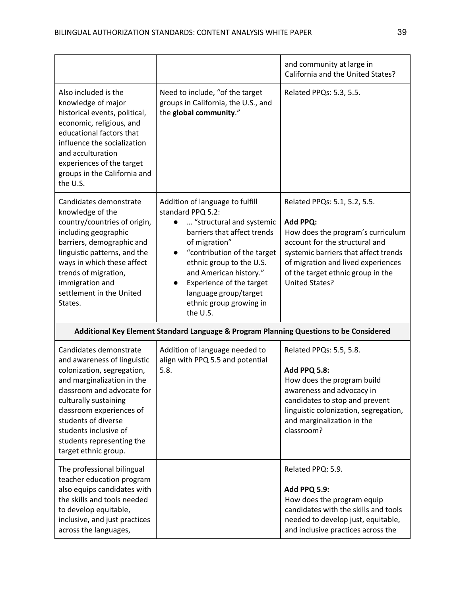|                                                                                                                                                                                                                                                                                                           |                                                                                                                                                                                                                                                                                                                                | and community at large in<br>California and the United States?                                                                                                                                                                                       |
|-----------------------------------------------------------------------------------------------------------------------------------------------------------------------------------------------------------------------------------------------------------------------------------------------------------|--------------------------------------------------------------------------------------------------------------------------------------------------------------------------------------------------------------------------------------------------------------------------------------------------------------------------------|------------------------------------------------------------------------------------------------------------------------------------------------------------------------------------------------------------------------------------------------------|
| Also included is the<br>knowledge of major<br>historical events, political,<br>economic, religious, and<br>educational factors that<br>influence the socialization<br>and acculturation<br>experiences of the target<br>groups in the California and<br>the U.S.                                          | Need to include, "of the target<br>groups in California, the U.S., and<br>the global community."                                                                                                                                                                                                                               | Related PPQs: 5.3, 5.5.                                                                                                                                                                                                                              |
| Candidates demonstrate<br>knowledge of the<br>country/countries of origin,<br>including geographic<br>barriers, demographic and<br>linguistic patterns, and the<br>ways in which these affect<br>trends of migration,<br>immigration and<br>settlement in the United<br>States.                           | Addition of language to fulfill<br>standard PPQ 5.2:<br>"structural and systemic<br>$\bullet$<br>barriers that affect trends<br>of migration"<br>"contribution of the target<br>ethnic group to the U.S.<br>and American history."<br>Experience of the target<br>language group/target<br>ethnic group growing in<br>the U.S. | Related PPQs: 5.1, 5.2, 5.5.<br>Add PPQ:<br>How does the program's curriculum<br>account for the structural and<br>systemic barriers that affect trends<br>of migration and lived experiences<br>of the target ethnic group in the<br>United States? |
|                                                                                                                                                                                                                                                                                                           | Additional Key Element Standard Language & Program Planning Questions to be Considered                                                                                                                                                                                                                                         |                                                                                                                                                                                                                                                      |
| Candidates demonstrate<br>and awareness of linguistic<br>colonization, segregation,<br>and marginalization in the<br>classroom and advocate for<br>culturally sustaining<br>classroom experiences of<br>students of diverse<br>students inclusive of<br>students representing the<br>target ethnic group. | Addition of language needed to<br>align with PPQ 5.5 and potential<br>5.8.                                                                                                                                                                                                                                                     | Related PPQs: 5.5, 5.8.<br><b>Add PPQ 5.8:</b><br>How does the program build<br>awareness and advocacy in<br>candidates to stop and prevent<br>linguistic colonization, segregation,<br>and marginalization in the<br>classroom?                     |
| The professional bilingual<br>teacher education program<br>also equips candidates with<br>the skills and tools needed<br>to develop equitable,<br>inclusive, and just practices<br>across the languages,                                                                                                  |                                                                                                                                                                                                                                                                                                                                | Related PPQ: 5.9.<br><b>Add PPQ 5.9:</b><br>How does the program equip<br>candidates with the skills and tools<br>needed to develop just, equitable,<br>and inclusive practices across the                                                           |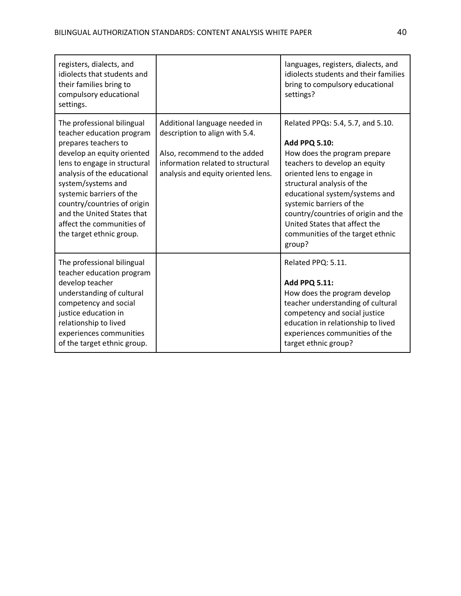| registers, dialects, and<br>idiolects that students and<br>their families bring to<br>compulsory educational<br>settings.                                                                                                                                                                                                                            |                                                                                                                                                                            | languages, registers, dialects, and<br>idiolects students and their families<br>bring to compulsory educational<br>settings?                                                                                                                                                                                                                                               |
|------------------------------------------------------------------------------------------------------------------------------------------------------------------------------------------------------------------------------------------------------------------------------------------------------------------------------------------------------|----------------------------------------------------------------------------------------------------------------------------------------------------------------------------|----------------------------------------------------------------------------------------------------------------------------------------------------------------------------------------------------------------------------------------------------------------------------------------------------------------------------------------------------------------------------|
| The professional bilingual<br>teacher education program<br>prepares teachers to<br>develop an equity oriented<br>lens to engage in structural<br>analysis of the educational<br>system/systems and<br>systemic barriers of the<br>country/countries of origin<br>and the United States that<br>affect the communities of<br>the target ethnic group. | Additional language needed in<br>description to align with 5.4.<br>Also, recommend to the added<br>information related to structural<br>analysis and equity oriented lens. | Related PPQs: 5.4, 5.7, and 5.10.<br><b>Add PPQ 5.10:</b><br>How does the program prepare<br>teachers to develop an equity<br>oriented lens to engage in<br>structural analysis of the<br>educational system/systems and<br>systemic barriers of the<br>country/countries of origin and the<br>United States that affect the<br>communities of the target ethnic<br>group? |
| The professional bilingual<br>teacher education program<br>develop teacher<br>understanding of cultural<br>competency and social<br>justice education in<br>relationship to lived<br>experiences communities<br>of the target ethnic group.                                                                                                          |                                                                                                                                                                            | Related PPQ: 5.11.<br><b>Add PPQ 5.11:</b><br>How does the program develop<br>teacher understanding of cultural<br>competency and social justice<br>education in relationship to lived<br>experiences communities of the<br>target ethnic group?                                                                                                                           |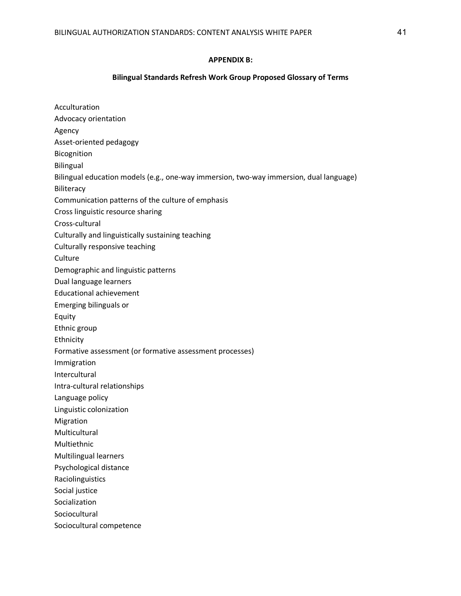#### **APPENDIX B:**

#### **Bilingual Standards Refresh Work Group Proposed Glossary of Terms**

Acculturation Advocacy orientation Agency Asset-oriented pedagogy Bicognition Bilingual Bilingual education models (e.g., one-way immersion, two-way immersion, dual language) **Biliteracy** Communication patterns of the culture of emphasis Cross linguistic resource sharing Cross-cultural Culturally and linguistically sustaining teaching Culturally responsive teaching **Culture** Demographic and linguistic patterns Dual language learners Educational achievement Emerging bilinguals or Equity Ethnic group Ethnicity Formative assessment (or formative assessment processes) Immigration Intercultural Intra-cultural relationships Language policy Linguistic colonization Migration Multicultural Multiethnic Multilingual learners Psychological distance Raciolinguistics Social justice Socialization Sociocultural Sociocultural competence